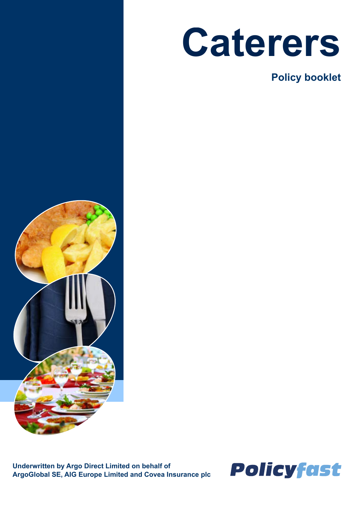

**Policy booklet**



**Underwritten by Argo Direct Limited on behalf of ArgoGlobal SE, AIG Europe Limited and Covea Insurance plc** 

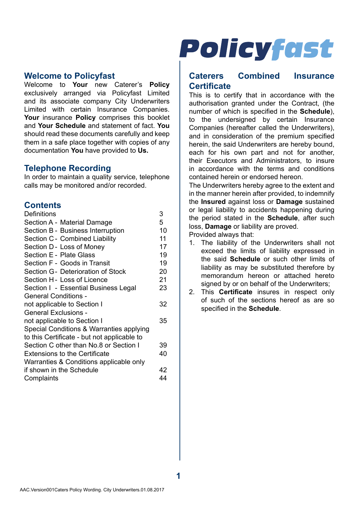#### **Welcome to Policyfast**

Welcome to **Your** new Caterer's **Policy**  exclusively arranged via Policyfast Limited and its associate company City Underwriters Limited with certain Insurance Companies. **Your** insurance **Policy** comprises this booklet and **Your Schedule** and statement of fact. **You**  should read these documents carefully and keep them in a safe place together with copies of any documentation **You** have provided to **Us.**

#### **Telephone Recording**

In order to maintain a quality service, telephone calls may be monitored and/or recorded.

### **Contents**

| Definitions                                 | 3  |
|---------------------------------------------|----|
| Section A - Material Damage                 | 5  |
| Section B - Business Interruption           | 10 |
| Section C - Combined Liability              | 11 |
| Section D - Loss of Money                   | 17 |
| Section E - Plate Glass                     | 19 |
| Section F - Goods in Transit                | 19 |
| Section G- Deterioration of Stock           | 20 |
| Section H - Loss of Licence                 | 21 |
| Section I - Essential Business Legal        | 23 |
| <b>General Conditions -</b>                 |    |
| not applicable to Section I                 | 32 |
| <b>General Exclusions -</b>                 |    |
| not applicable to Section I                 | 35 |
| Special Conditions & Warranties applying    |    |
| to this Certificate - but not applicable to |    |
| Section C other than No.8 or Section I      | 39 |
| <b>Extensions to the Certificate</b>        |    |
| Warranties & Conditions applicable only     |    |
| if shown in the Schedule                    | 42 |
| Complaints                                  |    |

# **Policyfast**

### **Caterers Combined Insurance Certificate**

This is to certify that in accordance with the authorisation granted under the Contract, (the number of which is specified in the **Schedule**), to the undersigned by certain Insurance Companies (hereafter called the Underwriters), and in consideration of the premium specified herein, the said Underwriters are hereby bound, each for his own part and not for another, their Executors and Administrators, to insure in accordance with the terms and conditions contained herein or endorsed hereon.

The Underwriters hereby agree to the extent and in the manner herein after provided, to indemnify the **Insured** against loss or **Damage** sustained or legal liability to accidents happening during the period stated in the **Schedule**, after such loss, **Damage** or liability are proved.

Provided always that:

- 1. The liability of the Underwriters shall not exceed the limits of liability expressed in the said **Schedule** or such other limits of liability as may be substituted therefore by memorandum hereon or attached hereto signed by or on behalf of the Underwriters;
- 2. This **Certificate** insures in respect only of such of the sections hereof as are so specified in the **Schedule**.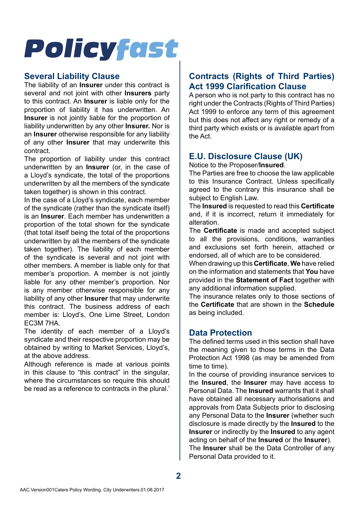### **Several Liability Clause**

The liability of an **Insurer** under this contract is several and not joint with other **Insurers** party to this contract. An **Insurer** is liable only for the proportion of liability it has underwritten. An **Insurer** is not jointly liable for the proportion of liability underwritten by any other **Insurer.** Nor is an **Insurer** otherwise responsible for any liability of any other **Insurer** that may underwrite this contract.

The proportion of liability under this contract underwritten by an **Insurer** (or, in the case of a Lloyd's syndicate, the total of the proportions underwritten by all the members of the syndicate taken together) is shown in this contract.

In the case of a Lloyd's syndicate, each member of the syndicate (rather than the syndicate itself) is an **Insurer**. Each member has underwritten a proportion of the total shown for the syndicate (that total itself being the total of the proportions underwritten by all the members of the syndicate taken together). The liability of each member of the syndicate is several and not joint with other members. A member is liable only for that member's proportion. A member is not jointly liable for any other member's proportion. Nor is any member otherwise responsible for any liability of any other **Insurer** that may underwrite this contract. The business address of each member is: Lloyd's, One Lime Street, London EC3M 7HA.

The identity of each member of a Lloyd's syndicate and their respective proportion may be obtained by writing to Market Services, Lloyd's, at the above address.

Although reference is made at various points in this clause to "this contract" in the singular where the circumstances so require this should be read as a reference to contracts in the plural.'

## **Contracts (Rights of Third Parties) Act 1999 Clarification Clause**

A person who is not party to this contract has no right under the Contracts (Rights of Third Parties) Act 1999 to enforce any term of this agreement but this does not affect any right or remedy of a third party which exists or is available apart from the Act.

## **E.U. Disclosure Clause (UK)**

Notice to the Proposer/**Insured**.

The Parties are free to choose the law applicable to this Insurance Contract. Unless specifically agreed to the contrary this insurance shall be subject to English Law

The **Insured** is requested to read this **Certificate**  and, if it is incorrect, return it immediately for alteration.

The **Certificate** is made and accepted subject to all the provisions, conditions, warranties and exclusions set forth herein, attached or endorsed, all of which are to be considered.

When drawing up this **Certificate**, **We** have relied on the information and statements that **You** have provided in the **Statement of Fact** together with any additional information supplied.

The insurance relates only to those sections of the **Certificate** that are shown in the **Schedule**  as being included.

## **Data Protection**

The defined terms used in this section shall have the meaning given to those terms in the Data Protection Act 1998 (as may be amended from time to time).

In the course of providing insurance services to the **Insured**, the **Insurer** may have access to Personal Data. The **Insured** warrants that it shall have obtained all necessary authorisations and approvals from Data Subjects prior to disclosing any Personal Data to the **Insurer** (whether such disclosure is made directly by the **Insured** to the **Insurer** or indirectly by the **Insured** to any agent acting on behalf of the **Insured** or the **Insurer**). The **Insurer** shall be the Data Controller of any Personal Data provided to it.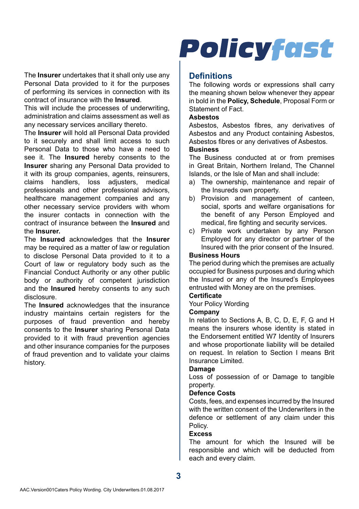The **Insurer** undertakes that it shall only use any Personal Data provided to it for the purposes of performing its services in connection with its contract of insurance with the **Insured**.

This will include the processes of underwriting, administration and claims assessment as well as any necessary services ancillary thereto.

The **Insurer** will hold all Personal Data provided to it securely and shall limit access to such Personal Data to those who have a need to see it. The **Insured** hereby consents to the **Insurer** sharing any Personal Data provided to it with its group companies, agents, reinsurers, claims handlers, loss adjusters, medical professionals and other professional advisors, healthcare management companies and any other necessary service providers with whom the insurer contacts in connection with the contract of insurance between the **Insured** and the **Insurer.**

The **Insured** acknowledges that the **Insurer**  may be required as a matter of law or regulation to disclose Personal Data provided to it to a Court of law or regulatory body such as the Financial Conduct Authority or any other public body or authority of competent jurisdiction and the **Insured** hereby consents to any such disclosure.

The **Insured** acknowledges that the insurance industry maintains certain registers for the purposes of fraud prevention and hereby consents to the **Insurer** sharing Personal Data provided to it with fraud prevention agencies and other insurance companies for the purposes of fraud prevention and to validate your claims history.

## **Policyfast**

### **Definitions**

The following words or expressions shall carry the meaning shown below whenever they appear in bold in the **Policy, Schedule**, Proposal Form or Statement of Fact.

#### **Asbestos**

Asbestos, Asbestos fibres, any derivatives of Asbestos and any Product containing Asbestos, Asbestos fibres or any derivatives of Asbestos.

#### **Business**

The Business conducted at or from premises in Great Britain, Northern Ireland, The Channel Islands, or the Isle of Man and shall include:

- a) The ownership, maintenance and repair of the Insureds own property.
- b) Provision and management of canteen. social, sports and welfare organisations for the benefit of any Person Employed and medical, fire fighting and security services.
- c) Private work undertaken by any Person Employed for any director or partner of the Insured with the prior consent of the Insured.

#### **Business Hours**

The period during which the premises are actually occupied for Business purposes and during which the Insured or any of the Insured's Employees entrusted with Money are on the premises.

#### **Certificate**

Your Policy Wording

#### **Company**

In relation to Sections A, B, C, D, E, F, G and H means the insurers whose identity is stated in the Endorsement entitled W7 Identity of Insurers and whose proportionate liability will be detailed on request. In relation to Section I means Brit Insurance Limited.

#### **Damage**

Loss of possession of or Damage to tangible property.

#### **Defence Costs**

Costs, fees, and expenses incurred by the Insured with the written consent of the Underwriters in the defence or settlement of any claim under this Policy.

#### **Excess**

The amount for which the Insured will be responsible and which will be deducted from each and every claim.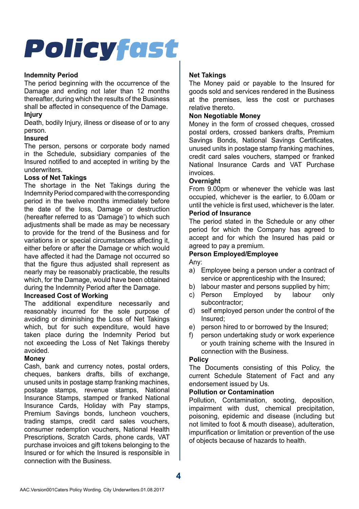#### **Indemnity Period**

The period beginning with the occurrence of the Damage and ending not later than 12 months thereafter, during which the results of the Business shall be affected in consequence of the Damage.

#### **Injury**

Death, bodily Injury, illness or disease of or to any person.

#### **Insured**

The person, persons or corporate body named in the Schedule, subsidiary companies of the Insured notified to and accepted in writing by the underwriters.

#### **Loss of Net Takings**

The shortage in the Net Takings during the Indemnity Period compared with the corresponding period in the twelve months immediately before the date of the loss, Damage or destruction (hereafter referred to as 'Damage') to which such adjustments shall be made as may be necessary to provide for the trend of the Business and for variations in or special circumstances affecting it, either before or after the Damage or which would have affected it had the Damage not occurred so that the figure thus adjusted shall represent as nearly may be reasonably practicable, the results which, for the Damage, would have been obtained during the Indemnity Period after the Damage.

#### **Increased Cost of Working**

The additional expenditure necessarily and reasonably incurred for the sole purpose of avoiding or diminishing the Loss of Net Takings which, but for such expenditure, would have taken place during the Indemnity Period but not exceeding the Loss of Net Takings thereby avoided.

#### **Money**

Cash, bank and currency notes, postal orders, cheques, bankers drafts, bills of exchange, unused units in postage stamp franking machines, postage stamps, revenue stamps, National Insurance Stamps, stamped or franked National Insurance Cards, Holiday with Pay stamps, Premium Savings bonds, luncheon vouchers, trading stamps, credit card sales vouchers, consumer redemption vouchers, National Health Prescriptions, Scratch Cards, phone cards, VAT purchase invoices and gift tokens belonging to the Insured or for which the Insured is responsible in connection with the Business.

#### **Net Takings**

The Money paid or payable to the Insured for goods sold and services rendered in the Business at the premises, less the cost or purchases relative thereto.

#### **Non Negotiable Money**

Money in the form of crossed cheques, crossed postal orders, crossed bankers drafts, Premium Savings Bonds, National Savings Certificates, unused units in postage stamp franking machines, credit card sales vouchers, stamped or franked National Insurance Cards and VAT Purchase invoices.

#### **Overnight**

From 9.00pm or whenever the vehicle was last occupied, whichever is the earlier, to 6.00am or until the vehicle is first used, whichever is the later.

#### **Period of Insurance**

The period stated in the Schedule or any other period for which the Company has agreed to accept and for which the Insured has paid or agreed to pay a premium.

#### **Person Employed/Employee**

Any:

- a) Employee being a person under a contract of service or apprenticeship with the Insured;
- b) labour master and persons supplied by him;<br>c) Person Employed by labour onl
- c) Person Employed by labour only subcontractor;
- d) self employed person under the control of the Insured;
- e) person hired to or borrowed by the Insured;
- f) person undertaking study or work experience or youth training scheme with the Insured in connection with the Business.

#### **Policy**

The Documents consisting of this Policy, the current Schedule Statement of Fact and any endorsement issued by Us.

#### **Pollution or Contamination**

Pollution, Contamination, sooting, deposition, impairment with dust, chemical precipitation, poisoning, epidemic and disease (including but not limited to foot & mouth disease), adulteration, impurification or limitation or prevention of the use of objects because of hazards to health.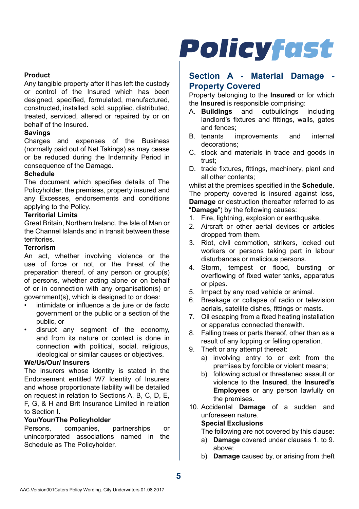#### **Product**

Any tangible property after it has left the custody or control of the Insured which has been designed, specified, formulated, manufactured, constructed, installed, sold, supplied, distributed, treated, serviced, altered or repaired by or on behalf of the Insured.

#### **Savings**

Charges and expenses of the Business (normally paid out of Net Takings) as may cease or be reduced during the Indemnity Period in consequence of the Damage.

#### **Schedule**

The document which specifies details of The Policyholder, the premises, property insured and any Excesses, endorsements and conditions applying to the Policy.

#### **Territorial Limits**

Great Britain, Northern Ireland, the Isle of Man or the Channel Islands and in transit between these territories.

#### **Terrorism**

An act, whether involving violence or the use of force or not, or the threat of the preparation thereof, of any person or group(s) of persons, whether acting alone or on behalf of or in connection with any organisation(s) or government(s), which is designed to or does:

- intimidate or influence a de jure or de facto government or the public or a section of the public, or
- disrupt any segment of the economy, and from its nature or context is done in connection with political, social, religious, ideological or similar causes or objectives.

#### **We/Us/Our/ Insurers**

The insurers whose identity is stated in the Endorsement entitled W7 Identity of Insurers and whose proportionate liability will be detailed on request in relation to Sections A, B, C, D, E, F, G, & H and Brit Insurance Limited in relation to Section I.

## **You/Your/The Policyholder**

Persons, companies, partnerships or unincorporated associations named in the Schedule as The Policyholder.

## **Policyfast**

### **Section A - Material Damage - Property Covered**

Property belonging to the **Insured** or for which the **Insured** is responsible comprising:<br>A. **Buildings** and outbuildings

- A. **Buildings** and outbuildings including landlord's fixtures and fittings, walls, gates and fences;<br>R tenants i
- improvements and internal decorations;
- C. stock and materials in trade and goods in trust;
- D. trade fixtures, fittings, machinery, plant and all other contents;

whilst at the premises specified in the **Schedule**. The property covered is insured against loss. **Damage** or destruction (hereafter referred to as "**Damage**") by the following causes:

- 1. Fire, lightning, explosion or earthquake.
- 2. Aircraft or other aerial devices or articles dropped from them.
- 3. Riot, civil commotion, strikers, locked out workers or persons taking part in labour disturbances or malicious persons.
- 4. Storm, tempest or flood, bursting or overflowing of fixed water tanks, apparatus or pipes.
- 5. Impact by any road vehicle or animal.
- 6. Breakage or collapse of radio or television aerials, satellite dishes, fittings or masts.
- 7. Oil escaping from a fixed heating installation or apparatus connected therewith.
- 8. Falling trees or parts thereof, other than as a result of any lopping or felling operation.
- 9. Theft or any attempt thereat:
	- a) involving entry to or exit from the premises by forcible or violent means;
	- b) following actual or threatened assault or violence to the **Insured**, the **Insured's Employees** or any person lawfully on the premises.
- 10. Accidental **Damage** of a sudden and unforeseen nature.

#### **Special Exclusions**

The following are not covered by this clause:

- a) **Damage** covered under clauses 1. to 9. above;
- b) **Damage** caused by, or arising from theft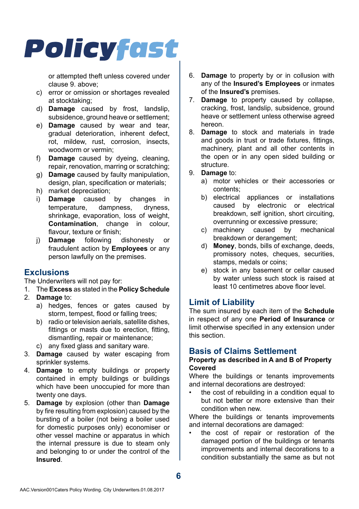or attempted theft unless covered under clause 9. above;

- c) error or omission or shortages revealed at stocktaking;
- d) **Damage** caused by frost, landslip, subsidence, ground heave or settlement;
- e) **Damage** caused by wear and tear, gradual deterioration, inherent defect, rot, mildew, rust, corrosion, insects, woodworm or vermin;
- f) **Damage** caused by dyeing, cleaning, repair, renovation, marring or scratching;
- g) **Damage** caused by faulty manipulation, design, plan, specification or materials;
- h) market depreciation;
- i) **Damage** caused by changes in temperature. shrinkage, evaporation, loss of weight, **Contamination**, change in colour, flavour, texture or finish;<br>**Damage** following dishonesty
- j) **Damage** following dishonesty or fraudulent action by **Employees** or any person lawfully on the premises.

## **Exclusions**

The Underwriters will not pay for:

- 1. The **Excess** as stated in the **Policy Schedule**
- 2. **Damage** to:
	- a) hedges, fences or gates caused by storm, tempest, flood or falling trees;
	- b) radio or television aerials, satellite dishes, fittings or masts due to erection, fitting, dismantling, repair or maintenance;
	- c) any fixed glass and sanitary ware.
- 3. **Damage** caused by water escaping from sprinkler systems.
- 4. **Damage** to empty buildings or property contained in empty buildings or buildings which have been unoccupied for more than twenty one days.
- 5. **Damage** by explosion (other than **Damage**  by fire resulting from explosion) caused by the bursting of a boiler (not being a boiler used for domestic purposes only) economiser or other vessel machine or apparatus in which the internal pressure is due to steam only and belonging to or under the control of the **Insured**.
- 6. **Damage** to property by or in collusion with any of the **Insured's Employees** or inmates of the **Insured's** premises.
- 7. **Damage** to property caused by collapse, cracking, frost, landslip, subsidence, ground heave or settlement unless otherwise agreed hereon.
- 8. **Damage** to stock and materials in trade and goods in trust or trade fixtures, fittings, machinery, plant and all other contents in the open or in any open sided building or structure.
- 9. **Damage** to:
	- a) motor vehicles or their accessories or contents;
	- b) electrical appliances or installations caused by electronic or electrical breakdown, self ignition, short circuiting, overrunning or excessive pressure;
	- c) machinery caused by mechanical breakdown or derangement;
	- d) **Money**, bonds, bills of exchange, deeds, promissory notes, cheques, securities, stamps, medals or coins;
	- e) stock in any basement or cellar caused by water unless such stock is raised at least 10 centimetres above floor level.

## **Limit of Liability**

The sum insured by each item of the **Schedule**  in respect of any one **Period of Insurance** or limit otherwise specified in any extension under this section.

## **Basis of Claims Settlement**

#### **Property as described in A and B of Property Covered**

Where the buildings or tenants improvements and internal decorations are destroyed:

• the cost of rebuilding in a condition equal to but not better or more extensive than their condition when new.

Where the buildings or tenants improvements and internal decorations are damaged:

• the cost of repair or restoration of the damaged portion of the buildings or tenants improvements and internal decorations to a condition substantially the same as but not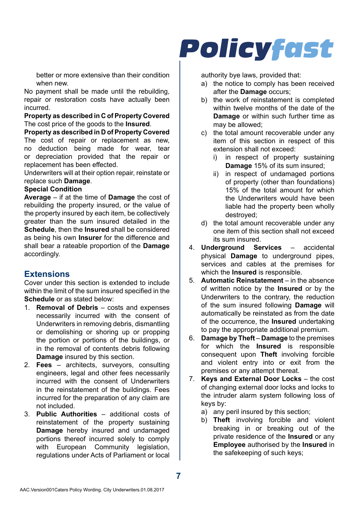better or more extensive than their condition when new.

No payment shall be made until the rebuilding, repair or restoration costs have actually been incurred.

**Property as described in C of Property Covered** The cost price of the goods to the **Insured**.

**Property as described in D of Property Covered** The cost of repair or replacement as new, no deduction being made for wear, tear or depreciation provided that the repair or replacement has been effected.

Underwriters will at their option repair, reinstate or replace such **Damage**.

#### **Special Condition**

**Average** – if at the time of **Damage** the cost of rebuilding the property insured, or the value of the property insured by each item, be collectively greater than the sum insured detailed in the **Schedule**, then the **Insured** shall be considered as being his own **Insurer** for the difference and shall bear a rateable proportion of the **Damage**  accordingly.

#### **Extensions**

Cover under this section is extended to include within the limit of the sum insured specified in the **Schedule** or as stated below:

- 1. **Removal of Debris**  costs and expenses necessarily incurred with the consent of Underwriters in removing debris, dismantling or demolishing or shoring up or propping the portion or portions of the buildings, or in the removal of contents debris following **Damage** insured by this section.
- 2. **Fees**  architects, surveyors, consulting engineers, legal and other fees necessarily incurred with the consent of Underwriters in the reinstatement of the buildings. Fees incurred for the preparation of any claim are not included.
- 3. **Public Authorities**  additional costs of reinstatement of the property sustaining **Damage** hereby insured and undamaged portions thereof incurred solely to comply with European Community legislation, regulations under Acts of Parliament or local

## **Policyfast**

authority bye laws, provided that:

- a) the notice to comply has been received after the **Damage** occurs;
- b) the work of reinstatement is completed within twelve months of the date of the **Damage** or within such further time as may be allowed;
- c) the total amount recoverable under any item of this section in respect of this extension shall not exceed:
	- i) in respect of property sustaining **Damage** 15% of its sum insured;
	- ii) in respect of undamaged portions of property (other than foundations) 15% of the total amount for which the Underwriters would have been liable had the property been wholly destroyed;
- d) the total amount recoverable under any one item of this section shall not exceed its sum insured.<br>derground Services
- 4. **Underground Services**  accidental physical **Damage** to underground pipes, services and cables at the premises for which the **Insured** is responsible.
- 5. **Automatic Reinstatement**  in the absence of written notice by the **Insured** or by the Underwriters to the contrary, the reduction of the sum insured following **Damage** will automatically be reinstated as from the date of the occurrence, the **Insured** undertaking to pay the appropriate additional premium.
- 6. **Damage by Theft Damage** to the premises for which the **Insured** is responsible consequent upon **Theft** involving forcible and violent entry into or exit from the premises or any attempt thereat.
- 7. **Keys and External Door Locks**  the cost of changing external door locks and locks to the intruder alarm system following loss of keys by:
	- a) any peril insured by this section;
	- b) **Theft** involving forcible and violent breaking in or breaking out of the private residence of the **Insured** or any **Employee** authorised by the **Insured** in the safekeeping of such keys;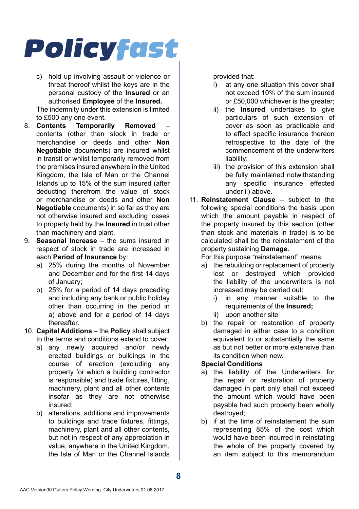c) hold up involving assault or violence or threat thereof whilst the keys are in the personal custody of the **Insured** or an authorised **Employee** of the **Insured.**

The indemnity under this extension is limited to £500 any one event.<br>8 **Contents Temporar** 

- Temporarily Removed contents (other than stock in trade or merchandise or deeds and other **Non Negotiable** documents) are insured whilst in transit or whilst temporarily removed from the premises insured anywhere in the United Kingdom, the Isle of Man or the Channel Islands up to 15% of the sum insured (after deducting therefrom the value of stock or merchandise or deeds and other **Non Negotiable** documents) in so far as they are not otherwise insured and excluding losses to property held by the **Insured** in trust other than machinery and plant.
- 9. **Seasonal Increase**  the sums insured in respect of stock in trade are increased in each **Period of Insurance** by:
	- a) 25% during the months of November and December and for the first 14 days of January;
	- b) 25% for a period of 14 days preceding and including any bank or public holiday other than occurring in the period in a) above and for a period of 14 days thereafter.
- 10. **Capital Additions**  the **Policy** shall subject to the terms and conditions extend to cover:
	- a) any newly acquired and/or newly erected buildings or buildings in the course of erection (excluding any property for which a building contractor is responsible) and trade fixtures, fitting, machinery, plant and all other contents insofar as they are not otherwise insured;
	- b) alterations, additions and improvements to buildings and trade fixtures, fittings, machinery, plant and all other contents, but not in respect of any appreciation in value, anywhere in the United Kingdom, the Isle of Man or the Channel Islands

provided that:

- i) at any one situation this cover shall not exceed 10% of the sum insured or £50,000 whichever is the greater;
- ii) the **Insured** undertakes to give particulars of such extension of cover as soon as practicable and to effect specific insurance thereon retrospective to the date of the commencement of the underwriters liability;
- iii) the provision of this extension shall be fully maintained notwithstanding any specific insurance effected under ii) above.
- 11. **Reinstatement Clause**  subject to the following special conditions the basis upon which the amount payable in respect of the property insured by this section (other than stock and materials in trade) is to be calculated shall be the reinstatement of the property sustaining **Damage**.

For this purpose "reinstatement" means:

- a) the rebuilding or replacement of property lost or destroyed which provided the liability of the underwriters is not increased may be carried out:
	- i) in any manner suitable to the requirements of the **Insured;**
	- ii) upon another site
- b) the repair or restoration of property damaged in either case to a condition equivalent to or substantially the same as but not better or more extensive than its condition when new.

#### **Special Conditions**

- a) the liability of the Underwriters for the repair or restoration of property damaged in part only shall not exceed the amount which would have been payable had such property been wholly destroyed;
- b) if at the time of reinstatement the sum representing 85% of the cost which would have been incurred in reinstating the whole of the property covered by an item subject to this memorandum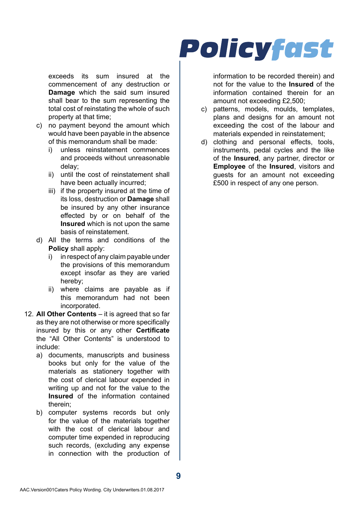exceeds its sum insured at the commencement of any destruction or **Damage** which the said sum insured shall bear to the sum representing the total cost of reinstating the whole of such property at that time;

- c) no payment beyond the amount which would have been payable in the absence of this memorandum shall be made:
	- i) unless reinstatement commences and proceeds without unreasonable delay;
	- ii) until the cost of reinstatement shall have been actually incurred;
	- iii) if the property insured at the time of its loss, destruction or **Damage** shall be insured by any other insurance effected by or on behalf of the **Insured** which is not upon the same basis of reinstatement.
- d) All the terms and conditions of the **Policy** shall apply:
	- i) in respect of any claim payable under the provisions of this memorandum except insofar as they are varied hereby;
	- ii) where claims are payable as if this memorandum had not been incorporated.
- 12. **All Other Contents**  it is agreed that so far as they are not otherwise or more specifically insured by this or any other **Certificate**  the "All Other Contents" is understood to include:
	- a) documents, manuscripts and business books but only for the value of the materials as stationery together with the cost of clerical labour expended in writing up and not for the value to the **Insured** of the information contained therein;
	- b) computer systems records but only for the value of the materials together with the cost of clerical labour and computer time expended in reproducing such records, (excluding any expense in connection with the production of

## **Policyfast**

information to be recorded therein) and not for the value to the **Insured** of the information contained therein for an amount not exceeding £2,500;

- c) patterns, models, moulds, templates, plans and designs for an amount not exceeding the cost of the labour and materials expended in reinstatement;
- d) clothing and personal effects, tools, instruments, pedal cycles and the like of the **Insured**, any partner, director or **Employee** of the **Insured**, visitors and guests for an amount not exceeding £500 in respect of any one person.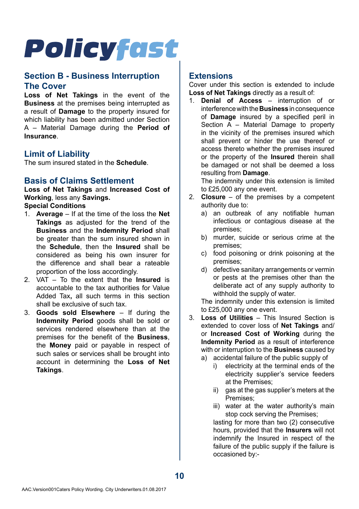### **Section B - Business Interruption The Cover**

**Loss of Net Takings** in the event of the **Business** at the premises being interrupted as a result of **Damage** to the property insured for which liability has been admitted under Section A – Material Damage during the **Period of Insurance**.

### **Limit of Liability**

The sum insured stated in the **Schedule**.

### **Basis of Claims Settlement**

**Loss of Net Takings** and **Increased Cost of Working**, less any **Savings.**

### **Special Conditions**

- 1. **Average**  If at the time of the loss the **Net Takings** as adjusted for the trend of the **Business** and the **Indemnity Period** shall be greater than the sum insured shown in the **Schedule**, then the **Insured** shall be considered as being his own insurer for the difference and shall bear a rateable proportion of the loss accordingly.
- 2. VAT To the extent that the **Insured** is accountable to the tax authorities for Value Added Tax**,** all such terms in this section shall be exclusive of such tax.
- 3. **Goods sold Elsewhere**  If during the **Indemnity Period** goods shall be sold or services rendered elsewhere than at the premises for the benefit of the **Business**, the **Money** paid or payable in respect of such sales or services shall be brought into account in determining the **Loss of Net Takings**.

### **Extensions**

Cover under this section is extended to include **Loss of Net Takings** directly as a result of:

1. **Denial of Access** – interruption of or interference with the **Business** in consequence of **Damage** insured by a specified peril in Section  $\overline{A}$  – Material Damage to property in the vicinity of the premises insured which shall prevent or hinder the use thereof or access thereto whether the premises insured or the property of the **Insured** therein shall be damaged or not shall be deemed a loss resulting from **Damage**.

The indemnity under this extension is limited to £25,000 any one event.

- 2. **Closure**  of the premises by a competent authority due to:
	- a) an outbreak of any notifiable human infectious or contagious disease at the premises;
	- b) murder, suicide or serious crime at the premises;
	- c) food poisoning or drink poisoning at the premises;
	- d) defective sanitary arrangements or vermin or pests at the premises other than the deliberate act of any supply authority to withhold the supply of water.

The indemnity under this extension is limited to £25,000 any one event.

- 3. **Loss of Utilities**  This Insured Section is extended to cover loss of **Net Takings** and/ or **Increased Cost of Working** during the **Indemnity Period** as a result of interference with or interruption to the **Business** caused by a) accidental failure of the public supply of
	- i) electricity at the terminal ends of the electricity supplier's service feeders at the Premises;
	- ii) gas at the gas supplier's meters at the Premises;
	- iii) water at the water authority's main stop cock serving the Premises;

lasting for more than two (2) consecutive hours, provided that the **Insurers** will not indemnify the Insured in respect of the failure of the public supply if the failure is occasioned by:-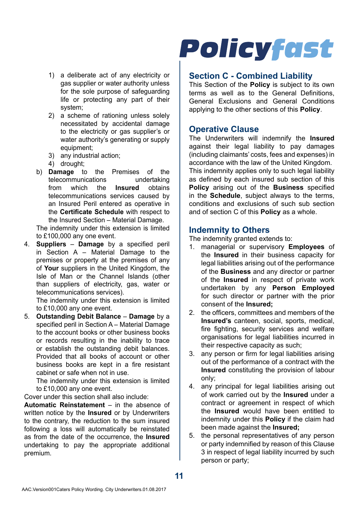- 1) a deliberate act of any electricity or gas supplier or water authority unless for the sole purpose of safeguarding life or protecting any part of their system;
- 2) a scheme of rationing unless solely necessitated by accidental damage to the electricity or gas supplier's or water authority's generating or supply equipment;
- 3) any industrial action;
- 4) drought;
- b) **Damage** to the Premises of the telecommunications undertaking<br>from which the **Insured** obtains from which the **Insured** telecommunications services caused by an Insured Peril entered as operative in the **Certificate Schedule** with respect to the Insured Section – Material Damage.

The indemnity under this extension is limited to £100,000 any one event.

4. **Suppliers** – **Damage** by a specified peril in Section A – Material Damage to the premises or property at the premises of any of **Your** suppliers in the United Kingdom, the Isle of Man or the Channel Islands (other than suppliers of electricity, gas, water or telecommunications services).

The indemnity under this extension is limited to £10,000 any one event.

5. **Outstanding Debit Balance** – **Damage** by a specified peril in Section A – Material Damage to the account books or other business books or records resulting in the inability to trace or establish the outstanding debit balances. Provided that all books of account or other business books are kept in a fire resistant cabinet or safe when not in use.

The indemnity under this extension is limited to £10,000 any one event.

Cover under this section shall also include:

**Automatic Reinstatement** – in the absence of written notice by the **Insured** or by Underwriters to the contrary, the reduction to the sum insured following a loss will automatically be reinstated as from the date of the occurrence, the **Insured**  undertaking to pay the appropriate additional premium.

# **Policyfast**

### **Section C - Combined Liability**

This Section of the **Policy** is subject to its own terms as well as to the General Definitions, General Exclusions and General Conditions applying to the other sections of this **Policy**.

### **Operative Clause**

The Underwriters will indemnify the **Insured**  against their legal liability to pay damages (including claimants' costs, fees and expenses) in accordance with the law of the United Kingdom. This indemnity applies only to such legal liability as defined by each insured sub section of this **Policy** arising out of the **Business** specified in the **Schedule**, subject always to the terms, conditions and exclusions of such sub section and of section C of this **Policy** as a whole.

### **Indemnity to Others**

The indemnity granted extends to:

- 1. managerial or supervisory **Employees** of the **Insured** in their business capacity for legal liabilities arising out of the performance of the **Business** and any director or partner of the **Insured** in respect of private work undertaken by any **Person Employed**  for such director or partner with the prior consent of the **Insured;**
- 2. the officers, committees and members of the **Insured's** canteen, social, sports, medical, fire fighting, security services and welfare organisations for legal liabilities incurred in their respective capacity as such;
- 3. any person or firm for legal liabilities arising out of the performance of a contract with the **Insured** constituting the provision of labour only;
- 4. any principal for legal liabilities arising out of work carried out by the **Insured** under a contract or agreement in respect of which the **Insured** would have been entitled to indemnity under this **Policy** if the claim had been made against the **Insured;**
- 5. the personal representatives of any person or party indemnified by reason of this Clause 3 in respect of legal liability incurred by such person or party;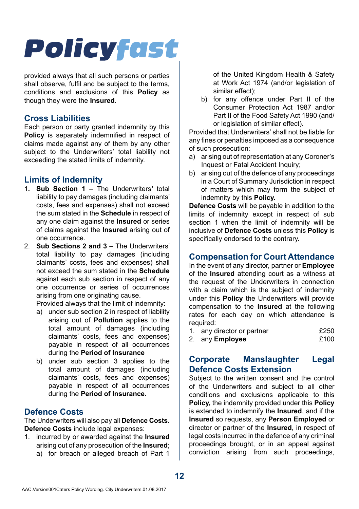provided always that all such persons or parties shall observe, fulfil and be subject to the terms, conditions and exclusions of this **Policy** as though they were the **Insured**.

### **Cross Liabilities**

Each person or party granted indemnity by this **Policy** is separately indemnified in respect of claims made against any of them by any other subject to the Underwriters' total liability not exceeding the stated limits of indemnity.

## **Limits of Indemnity**

- 1**. Sub Section 1**  The Underwriters**'** total liability to pay damages (including claimants' costs, fees and expenses) shall not exceed the sum stated in the **Schedule** in respect of any one claim against the **Insured** or series of claims against the **Insured** arising out of one occurrence.
- 2. **Sub Sections 2 and 3**  The Underwriters' total liability to pay damages (including claimants' costs, fees and expenses) shall not exceed the sum stated in the **Schedule**  against each sub section in respect of any one occurrence or series of occurrences arising from one originating cause.

Provided always that the limit of indemnity:

- a) under sub section 2 in respect of liability arising out of **Pollution** applies to the total amount of damages (including claimants' costs, fees and expenses) payable in respect of all occurrences during the **Period of Insurance**
- b) under sub section 3 applies to the total amount of damages (including claimants' costs, fees and expenses) payable in respect of all occurrences during the **Period of Insurance**.

## **Defence Costs**

The Underwriters will also pay all **Defence Costs**. **Defence Costs** include legal expenses:

- 1. incurred by or awarded against the **Insured**  arising out of any prosecution of the **Insured**;
	- a) for breach or alleged breach of Part 1

of the United Kingdom Health & Safety at Work Act 1974 (and/or legislation of similar effect);

b) for any offence under Part II of the Consumer Protection Act 1987 and/or Part II of the Food Safety Act 1990 (and/ or legislation of similar effect).

Provided that Underwriters' shall not be liable for any fines or penalties imposed as a consequence of such prosecution:

- a) arising out of representation at any Coroner's Inquest or Fatal Accident Inquiry;
- b) arising out of the defence of any proceedings in a Court of Summary Jurisdiction in respect of matters which may form the subject of indemnity by this **Policy.**

**Defence Costs** will be payable in addition to the limits of indemnity except in respect of sub section 1 when the limit of indemnity will be inclusive of **Defence Costs** unless this **Policy** is specifically endorsed to the contrary.

### **Compensation for Court Attendance**

In the event of any director, partner or **Employee**  of the **Insured** attending court as a witness at the request of the Underwriters in connection with a claim which is the subject of indemnity under this **Policy** the Underwriters will provide compensation to the **Insured** at the following rates for each day on which attendance is required:

| 1. any director or partner | £250 |
|----------------------------|------|
| 2. any <b>Employee</b>     | £100 |

## **Corporate Manslaughter Legal Defence Costs Extension**

Subject to the written consent and the control of the Underwriters and subject to all other conditions and exclusions applicable to this **Policy,** the indemnity provided under this **Policy**  is extended to indemnify the **Insured**, and if the **Insured** so requests, any **Person Employed** or director or partner of the **Insured**, in respect of legal costs incurred in the defence of any criminal proceedings brought, or in an appeal against conviction arising from such proceedings,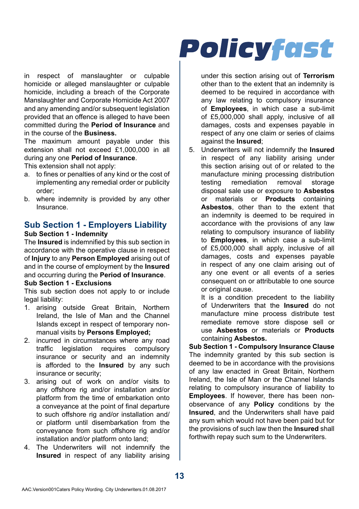in respect of manslaughter or culpable homicide or alleged manslaughter or culpable homicide, including a breach of the Corporate Manslaughter and Corporate Homicide Act 2007 and any amending and/or subsequent legislation provided that an offence is alleged to have been committed during the **Period of Insurance** and in the course of the **Business.**

The maximum amount payable under this extension shall not exceed £1,000,000 in all during any one **Period of Insurance**.

This extension shall not apply:

- a. to fines or penalties of any kind or the cost of implementing any remedial order or publicity order;
- b. where indemnity is provided by any other Insurance.

#### **Sub Section 1 - Employers Liability Sub Section 1 - Indemnity**

The **Insured** is indemnified by this sub section in accordance with the operative clause in respect of **Injury** to any **Person Employed** arising out of and in the course of employment by the **Insured** and occurring during the **Period of Insurance**. **Sub Section 1 - Exclusions**

This sub section does not apply to or include legal liability:

- 1. arising outside Great Britain, Northern Ireland, the Isle of Man and the Channel Islands except in respect of temporary nonmanual visits by **Persons Employed;**
- 2. incurred in circumstances where any road traffic legislation requires compulsory insurance or security and an indemnity is afforded to the **Insured** by any such insurance or security;
- 3. arising out of work on and/or visits to any offshore rig and/or installation and/or platform from the time of embarkation onto a conveyance at the point of final departure to such offshore rig and/or installation and/ or platform until disembarkation from the conveyance from such offshore rig and/or installation and/or platform onto land;
- 4. The Underwriters will not indemnify the **Insured** in respect of any liability arising

# **Policyfast**

under this section arising out of **Terrorism**  other than to the extent that an indemnity is deemed to be required in accordance with any law relating to compulsory insurance of **Employees**, in which case a sub-limit of £5,000,000 shall apply, inclusive of all damages, costs and expenses payable in respect of any one claim or series of claims against the **Insured**;

5. Underwriters will not indemnify the **Insured**  in respect of any liability arising under this section arising out of or related to the manufacture mining processing distribution testing remediation removal storage disposal sale use or exposure to **Asbestos**  or materials or **Products** containing **Asbestos**, other than to the extent that an indemnity is deemed to be required in accordance with the provisions of any law relating to compulsory insurance of liability to **Employees**, in which case a sub-limit of £5,000,000 shall apply, inclusive of all damages, costs and expenses payable in respect of any one claim arising out of any one event or all events of a series consequent on or attributable to one source or original cause.

It is a condition precedent to the liability of Underwriters that the **Insured** do not manufacture mine process distribute test remediate remove store dispose sell or use **Asbestos** or materials or **Products**  containing **Asbestos.**

**Sub Section 1 - Compulsory Insurance Clause** The indemnity granted by this sub section is deemed to be in accordance with the provisions of any law enacted in Great Britain, Northern Ireland, the Isle of Man or the Channel Islands relating to compulsory insurance of liability to **Employees**. If however, there has been nonobservance of any **Policy** conditions by the **Insured**, and the Underwriters shall have paid any sum which would not have been paid but for the provisions of such law then the **Insured** shall forthwith repay such sum to the Underwriters.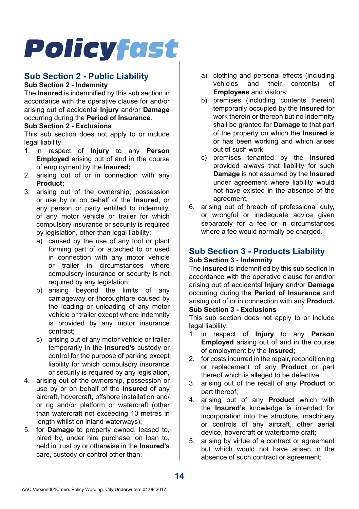#### **Sub Section 2 - Public Liability Sub Section 2 - Indemnity**

The **Insured** is indemnified by this sub section in accordance with the operative clause for and/or arising out of accidental **Injury** and/or **Damage**  occurring during the **Period of Insurance**. **Sub Section 2 - Exclusions**

This sub section does not apply to or include legal liability:

- 1. in respect of **Injury** to any **Person Employed** arising out of and in the course of employment by the **Insured;**
- 2. arising out of or in connection with any **Product;**
- 3. arising out of the ownership, possession or use by or on behalf of the **Insured**, or any person or party entitled to indemnity, of any motor vehicle or trailer for which compulsory insurance or security is required by legislation, other than legal liability:
	- a) caused by the use of any tool or plant forming part of or attached to or used in connection with any motor vehicle or trailer in circumstances where compulsory insurance or security is not required by any legislation:
	- b) arising beyond the limits of any carriageway or thoroughfare caused by the loading or unloading of any motor vehicle or trailer except where indemnity is provided by any motor insurance contract;
	- c) arising out of any motor vehicle or trailer temporarily in the **Insured's** custody or control for the purpose of parking except liability for which compulsory insurance or security is required by any legislation,
- 4. arising out of the ownership, possession or use by or on behalf of the **Insured** of any aircraft, hovercraft, offshore installation and/ or rig and/or platform or watercraft (other than watercraft not exceeding 10 metres in length whilst on inland waterways);
- 5. for **Damage** to property owned, leased to, hired by, under hire purchase, on loan to, held in trust by or otherwise in the **Insured's**  care, custody or control other than:
- a) clothing and personal effects (including<br>vehicles and their contents) of contents) of **Employees** and visitors;
- b) premises (including contents therein) temporarily occupied by the **Insured** for work therein or thereon but no indemnity shall be granted for **Damage** to that part of the property on which the **Insured** is or has been working and which arises out of such work;
- c) premises tenanted by the **Insured**  provided always that liability for such **Damage** is not assumed by the **Insured**  under agreement where liability would not have existed in the absence of the agreement,
- 6. arising out of breach of professional duty, or wrongful or inadequate advice given separately for a fee or in circumstances where a fee would normally be charged.

## **Sub Section 3 - Products Liability Sub Section 3 - Indemnity**

The **Insured** is indemnified by this sub section in accordance with the operative clause for and/or arising out of accidental **Injury** and/or **Damage**  occurring during the **Period of Insurance** and arising out of or in connection with any **Product.**

### **Sub Section 3 - Exclusions**

This sub section does not apply to or include legal liability:

- 1. in respect of **Injury** to any **Person Employed** arising out of and in the course of employment by the **Insured;**
- 2. for costs incurred in the repair, reconditioning or replacement of any **Product** or part thereof which is alleged to be defective;
- 3. arising out of the recall of any **Product** or part thereof;
- 4. arising out of any **Product** which with the **Insured's** knowledge is intended for incorporation into the structure, machinery or controls of any aircraft, other aerial device, hovercraft or waterborne craft;
- 5. arising by virtue of a contract or agreement but which would not have arisen in the absence of such contract or agreement;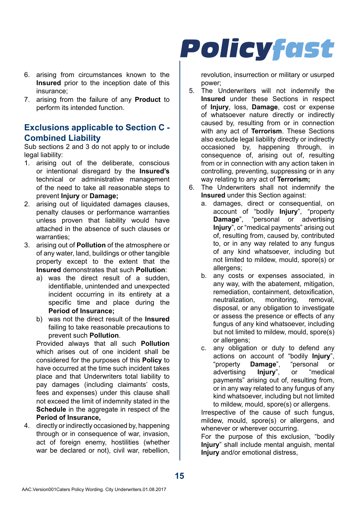- 6. arising from circumstances known to the **Insured** prior to the inception date of this insurance;
- 7. arising from the failure of any **Product** to perform its intended function.

### **Exclusions applicable to Section C - Combined Liability**

Sub sections 2 and 3 do not apply to or include legal liability:

- 1. arising out of the deliberate, conscious or intentional disregard by the **Insured's**  technical or administrative management of the need to take all reasonable steps to prevent **Injury** or **Damage;**
- 2. arising out of liquidated damages clauses, penalty clauses or performance warranties unless proven that liability would have attached in the absence of such clauses or warranties;
- 3. arising out of **Pollution** of the atmosphere or of any water, land, buildings or other tangible property except to the extent that the **Insured** demonstrates that such **Pollution**:
	- a) was the direct result of a sudden identifiable, unintended and unexpected incident occurring in its entirety at a specific time and place during the **Period of Insurance;**
	- b) was not the direct result of the **Insured**  failing to take reasonable precautions to prevent such **Pollution**.

Provided always that all such **Pollution**  which arises out of one incident shall be considered for the purposes of this **Policy** to have occurred at the time such incident takes place and that Underwriters total liability to pay damages (including claimants' costs, fees and expenses) under this clause shall not exceed the limit of indemnity stated in the **Schedule** in the aggregate in respect of the **Period of Insurance,**

4. directly or indirectly occasioned by, happening through or in consequence of war, invasion, act of foreign enemy, hostilities (whether war be declared or not), civil war, rebellion,

## **Policyfast**

revolution, insurrection or military or usurped power;

- 5. The Underwriters will not indemnify the **Insured** under these Sections in respect of **Injury**, loss, **Damage**, cost or expense of whatsoever nature directly or indirectly caused by, resulting from or in connection with any act of **Terrorism**. These Sections also exclude legal liability directly or indirectly occasioned by, happening through, in consequence of, arising out of, resulting from or in connection with any action taken in controlling, preventing, suppressing or in any way relating to any act of **Terrorism;**
- 6. The Underwriters shall not indemnify the **Insured** under this Section against:
	- a. damages, direct or consequential, on account of "bodily **Injury**", "property **Damage**", "personal or advertising **Injury**", or "medical payments" arising out of, resulting from, caused by, contributed to, or in any way related to any fungus of any kind whatsoever, including but not limited to mildew, mould, spore(s) or allergens;
	- b. any costs or expenses associated, in any way, with the abatement, mitigation, remediation, containment, detoxification, neutralization, monitoring, removal, disposal, or any obligation to investigate or assess the presence or effects of any fungus of any kind whatsoever, including but not limited to mildew, mould, spore(s) or allergens;
	- c. any obligation or duty to defend any actions on account of "bodily **Injury**", "property **Damage**", "personal or advertising **Injury**", or "medical payments" arising out of, resulting from, or in any way related to any fungus of any kind whatsoever, including but not limited to mildew, mould, spore(s) or allergens.

Irrespective of the cause of such fungus, mildew, mould, spore(s) or allergens, and whenever or wherever occurring.

For the purpose of this exclusion, "bodily **Injury**" shall include mental anguish, mental **Injury** and/or emotional distress,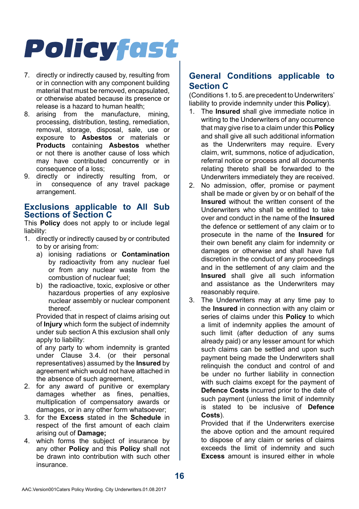- 7. directly or indirectly caused by, resulting from or in connection with any component building material that must be removed, encapsulated, or otherwise abated because its presence or release is a hazard to human health;
- 8. arising from the manufacture, mining, processing, distribution, testing, remediation, removal, storage, disposal, sale, use or exposure to **Asbestos** or materials or **Products** containing **Asbestos** whether or not there is another cause of loss which may have contributed concurrently or in consequence of a loss;
- 9. directly or indirectly resulting from, or<br>in consequence of any travel package consequence of any travel package arrangement.

### **Exclusions applicable to All Sub Sections of Section C**

This **Policy** does not apply to or include legal liability:

- 1. directly or indirectly caused by or contributed to by or arising from:
	- a) ionising radiations or **Contamination**  by radioactivity from any nuclear fuel or from any nuclear waste from the combustion of nuclear fuel;
	- b) the radioactive, toxic, explosive or other hazardous properties of any explosive nuclear assembly or nuclear component thereof.

Provided that in respect of claims arising out of **Injury** which form the subject of indemnity under sub section A this exclusion shall only apply to liability:

of any party to whom indemnity is granted under Clause 3.4. (or their personal representatives) assumed by the **Insured** by agreement which would not have attached in the absence of such agreement,

- 2. for any award of punitive or exemplary damages whether as fines, penalties, multiplication of compensatory awards or damages, or in any other form whatsoever;
- 3. for the **Excess** stated in the **Schedule** in respect of the first amount of each claim arising out of **Damage;**
- 4. which forms the subject of insurance by any other **Policy** and this **Policy** shall not be drawn into contribution with such other insurance.

## **General Conditions applicable to Section C**

(Conditions 1. to 5. are precedent to Underwriters' liability to provide indemnity under this **Policy**).

- 1. The **Insured** shall give immediate notice in writing to the Underwriters of any occurrence that may give rise to a claim under this **Policy**  and shall give all such additional information as the Underwriters may require. Every claim, writ, summons, notice of adjudication, referral notice or process and all documents relating thereto shall be forwarded to the Underwriters immediately they are received.
- 2. No admission, offer, promise or payment shall be made or given by or on behalf of the **Insured** without the written consent of the Underwriters who shall be entitled to take over and conduct in the name of the **Insured**  the defence or settlement of any claim or to prosecute in the name of the **Insured** for their own benefit any claim for indemnity or damages or otherwise and shall have full discretion in the conduct of any proceedings and in the settlement of any claim and the **Insured** shall give all such information and assistance as the Underwriters may reasonably require.
- 3. The Underwriters may at any time pay to the **Insured** in connection with any claim or series of claims under this **Policy** to which a limit of indemnity applies the amount of such limit (after deduction of any sums already paid) or any lesser amount for which such claims can be settled and upon such payment being made the Underwriters shall relinquish the conduct and control of and be under no further liability in connection with such claims except for the payment of **Defence Costs** incurred prior to the date of such payment (unless the limit of indemnity is stated to be inclusive of **Defence Costs**).

Provided that if the Underwriters exercise the above option and the amount required to dispose of any claim or series of claims exceeds the limit of indemnity and such **Excess** amount is insured either in whole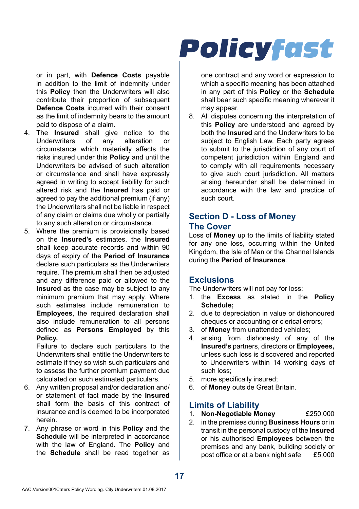or in part, with **Defence Costs** payable in addition to the limit of indemnity under this **Policy** then the Underwriters will also contribute their proportion of subsequent **Defence Costs** incurred with their consent as the limit of indemnity bears to the amount paid to dispose of a claim.

- 4. The **Insured** shall give notice to the Underwriters of any alteration or circumstance which materially affects the risks insured under this **Policy** and until the Underwriters be advised of such alteration or circumstance and shall have expressly agreed in writing to accept liability for such altered risk and the **Insured** has paid or agreed to pay the additional premium (if any) the Underwriters shall not be liable in respect of any claim or claims due wholly or partially to any such alteration or circumstance.
- 5. Where the premium is provisionally based on the **Insured's** estimates, the **Insured**  shall keep accurate records and within 90 days of expiry of the **Period of Insurance**  declare such particulars as the Underwriters require. The premium shall then be adjusted and any difference paid or allowed to the **Insured** as the case may be subject to any minimum premium that may apply. Where such estimates include remuneration to **Employees**, the required declaration shall also include remuneration to all persons defined as **Persons Employed** by this **Policy.**

Failure to declare such particulars to the Underwriters shall entitle the Underwriters to estimate if they so wish such particulars and to assess the further premium payment due calculated on such estimated particulars.

- 6. Any written proposal and/or declaration and/ or statement of fact made by the **Insured**  shall form the basis of this contract of insurance and is deemed to be incorporated herein.
- 7. Any phrase or word in this **Policy** and the **Schedule** will be interpreted in accordance with the law of England. The **Policy** and the **Schedule** shall be read together as

## **Policyfast**

one contract and any word or expression to which a specific meaning has been attached in any part of this **Policy** or the **Schedule**  shall bear such specific meaning wherever it may appear.

8. All disputes concerning the interpretation of this **Policy** are understood and agreed by both the **Insured** and the Underwriters to be subject to English Law. Each party agrees to submit to the jurisdiction of any court of competent jurisdiction within England and to comply with all requirements necessary to give such court jurisdiction. All matters arising hereunder shall be determined in accordance with the law and practice of such court.

### **Section D - Loss of Money The Cover**

Loss of **Money** up to the limits of liability stated for any one loss, occurring within the United Kingdom, the Isle of Man or the Channel Islands during the **Period of Insurance**.

### **Exclusions**

The Underwriters will not pay for loss:

- 1. the **Excess** as stated in the **Policy Schedule;**
- 2. due to depreciation in value or dishonoured cheques or accounting or clerical errors;
- 3. of **Money** from unattended vehicles;
- arising from dishonesty of any of the **Insured's** partners, directors or **Employees,**  unless such loss is discovered and reported to Underwriters within 14 working days of such loss;
- 5. more specifically insured;
- 6. of **Money** outside Great Britain.

## **Limits of Liability**

- 1. **Non-Negotiable Money** £250,000
- 2. in the premises during **Business Hours** or in transit in the personal custody of the **Insured**  or his authorised **Employees** between the premises and any bank, building society or post office or at a bank night safe  $£5,000$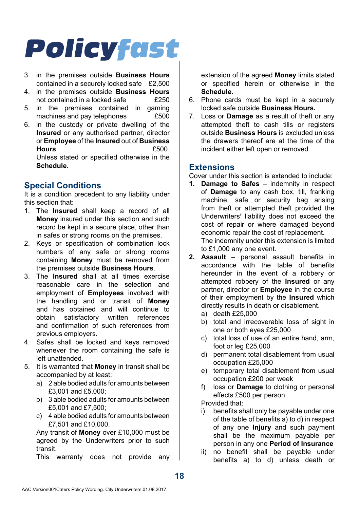- 3. in the premises outside **Business Hours**  contained in a securely locked safe £2,500
- 4. in the premises outside **Business Hours**  not contained in a locked safe
- 5. in the premises contained in gaming<br>machines and nay telephones f500 machines and pay telephones
- 6. in the custody or private dwelling of the **Insured** or any authorised partner, director or **Employee** of the **Insured** out of **Business Hours** £500. Unless stated or specified otherwise in the **Schedule.**

## **Special Conditions**

It is a condition precedent to any liability under this section that:

- 1. The **Insured** shall keep a record of all **Money** insured under this section and such record be kept in a secure place, other than in safes or strong rooms on the premises.
- 2. Keys or specification of combination lock numbers of any safe or strong rooms containing **Money** must be removed from the premises outside **Business Hours**.
- 3. The **Insured** shall at all times exercise reasonable care in the selection and employment of **Employees** involved with the handling and or transit of **Money**  and has obtained and will continue to obtain satisfactory written references and confirmation of such references from previous employers.
- 4. Safes shall be locked and keys removed whenever the room containing the safe is left unattended.
- 5. It is warranted that **Money** in transit shall be accompanied by at least:
	- a) 2 able bodied adults for amounts between £3,001 and £5,000;
	- b) 3 able bodied adults for amounts between £5,001 and £7,500;
	- c) 4 able bodied adults for amounts between £7,501 and £10,000.

Any transit of **Money** over £10,000 must be agreed by the Underwriters prior to such transit.

This warranty does not provide any

extension of the agreed **Money** limits stated or specified herein or otherwise in the **Schedule.**

- 6. Phone cards must be kept in a securely locked safe outside **Business Hours.**
- 7. Loss or **Damage** as a result of theft or any attempted theft to cash tills or registers outside **Business Hours** is excluded unless the drawers thereof are at the time of the incident either left open or removed.

## **Extensions**

Cover under this section is extended to include:

- **1. Damage to Safes**  indemnity in respect of **Damage** to any cash box, till, franking machine, safe or security bag arising from theft or attempted theft provided the Underwriters**'** liability does not exceed the cost of repair or where damaged beyond economic repair the cost of replacement. The indemnity under this extension is limited to £1,000 any one event.
- **2. Assault**  personal assault benefits in accordance with the table of benefits hereunder in the event of a robbery or attempted robbery of the **Insured** or any partner, director or **Employee** in the course of their employment by the **Insured** which directly results in death or disablement.
	- a) death £25,000
	- b) total and irrecoverable loss of sight in one or both eyes £25,000
	- c) total loss of use of an entire hand, arm, foot or leg £25,000
	- d) permanent total disablement from usual occupation £25,000
	- e) temporary total disablement from usual occupation £200 per week
	- f) loss or **Damage** to clothing or personal effects £500 per person.

Provided that:

- benefits shall only be payable under one of the table of benefits a) to d) in respect of any one **Injury** and such payment shall be the maximum payable per person in any one **Period of Insurance**
- ii) no benefit shall be payable under benefits a) to d) unless death or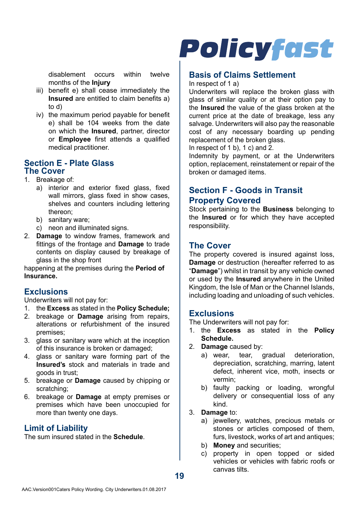disablement occurs within twelve months of the **Injury**

- iii) benefit e) shall cease immediately the **Insured** are entitled to claim benefits a) to d)
- iv) the maximum period payable for benefit e) shall be 104 weeks from the date on which the **Insured**, partner, director or **Employee** first attends a qualified medical practitioner.

#### **Section E - Plate Glass The Cover**

- 1. Breakage of:
	- a) interior and exterior fixed glass, fixed wall mirrors, glass fixed in show cases, shelves and counters including lettering thereon;
	- b) sanitary ware;
	- c) neon and illuminated signs.
- 2. **Damage** to window frames, framework and fittings of the frontage and **Damage** to trade contents on display caused by breakage of glass in the shop front

happening at the premises during the **Period of Insurance.**

### **Exclusions**

Underwriters will not pay for:

- 1. the **Excess** as stated in the **Policy Schedule;**
- 2. breakage or **Damage** arising from repairs, alterations or refurbishment of the insured premises;
- 3. glass or sanitary ware which at the inception of this insurance is broken or damaged;
- 4. glass or sanitary ware forming part of the **Insured's** stock and materials in trade and goods in trust;
- 5. breakage or **Damage** caused by chipping or scratching;
- 6. breakage or **Damage** at empty premises or premises which have been unoccupied for more than twenty one days.

### **Limit of Liability**

The sum insured stated in the **Schedule**.

# **Policyfast**

## **Basis of Claims Settlement**

In respect of 1 a)

Underwriters will replace the broken glass with glass of similar quality or at their option pay to the **Insured** the value of the glass broken at the current price at the date of breakage, less any salvage. Underwriters will also pay the reasonable cost of any necessary boarding up pending replacement of the broken glass.

In respect of 1 b), 1 c) and 2.

Indemnity by payment, or at the Underwriters option, replacement, reinstatement or repair of the broken or damaged items.

## **Section F - Goods in Transit Property Covered**

Stock pertaining to the **Business** belonging to the **Insured** or for which they have accepted responsibility.

### **The Cover**

The property covered is insured against loss, **Damage** or destruction (hereafter referred to as "**Damage**") whilst in transit by any vehicle owned or used by the **Insured** anywhere in the United Kingdom, the Isle of Man or the Channel Islands, including loading and unloading of such vehicles.

### **Exclusions**

The Underwriters will not pay for:

- 1. the **Excess** as stated in the **Policy Schedule.**
- 2. **Damage** caused by:
	- a) wear, tear, gradual deterioration, depreciation, scratching, marring, latent defect, inherent vice, moth, insects or vermin;
	- b) faulty packing or loading, wrongful delivery or consequential loss of any kind.

#### 3. **Damage** to:

- a) jewellery, watches, precious metals or stones or articles composed of them, furs, livestock, works of art and antiques;
- b) **Money** and securities;
- c) property in open topped or sided vehicles or vehicles with fabric roofs or canvas tilts.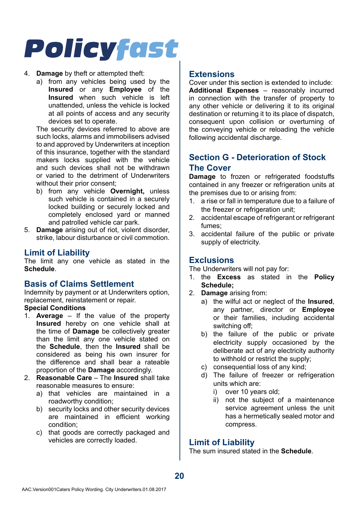#### 4. **Damage** by theft or attempted theft:

a) from any vehicles being used by the **Insured** or any **Employee** of the **Insured** when such vehicle is left unattended, unless the vehicle is locked at all points of access and any security devices set to operate.

The security devices referred to above are such locks, alarms and immobilisers advised to and approved by Underwriters at inception of this insurance, together with the standard makers locks supplied with the vehicle and such devices shall not be withdrawn or varied to the detriment of Underwriters without their prior consent:

- b) from any vehicle **Overnight,** unless such vehicle is contained in a securely locked building or securely locked and completely enclosed yard or manned and patrolled vehicle car park.
- 5. **Damage** arising out of riot, violent disorder, strike, labour disturbance or civil commotion.

#### **Limit of Liability**

The limit any one vehicle as stated in the **Schedule**.

#### **Basis of Claims Settlement**

Indemnity by payment or at Underwriters option, replacement, reinstatement or repair.

### **Special Conditions**

- 1. **Average**  If the value of the property **Insured** hereby on one vehicle shall at the time of **Damage** be collectively greater than the limit any one vehicle stated on the **Schedule**, then the **Insured** shall be considered as being his own insurer for the difference and shall bear a rateable proportion of the **Damage** accordingly.
- 2. **Reasonable Care**  The **Insured** shall take reasonable measures to ensure:
	- a) that vehicles are maintained in a roadworthy condition;
	- b) security locks and other security devices are maintained in efficient working condition;
	- c) that goods are correctly packaged and vehicles are correctly loaded.

### **Extensions**

Cover under this section is extended to include: **Additional Expenses** – reasonably incurred in connection with the transfer of property to any other vehicle or delivering it to its original destination or returning it to its place of dispatch, consequent upon collision or overturning of the conveying vehicle or reloading the vehicle following accidental discharge.

### **Section G - Deterioration of Stock The Cover**

**Damage** to frozen or refrigerated foodstuffs contained in any freezer or refrigeration units at the premises due to or arising from:

- 1. a rise or fall in temperature due to a failure of the freezer or refrigeration unit:
- 2. accidental escape of refrigerant or refrigerant fumes;
- 3. accidental failure of the public or private supply of electricity.

#### **Exclusions**

The Underwriters will not pay for:

- 1. the **Excess** as stated in the **Policy Schedule;**
- 2. **Damage** arising from:
	- a) the wilful act or neglect of the **Insured**, any partner, director or **Employee**  or their families, including accidental switching off;
	- b) the failure of the public or private electricity supply occasioned by the deliberate act of any electricity authority to withhold or restrict the supply;
	- c) consequential loss of any kind;
	- d) The failure of freezer or refrigeration units which are:
		- i) over 10 years old:
		- ii) not the subject of a maintenance service agreement unless the unit has a hermetically sealed motor and compress.

### **Limit of Liability**

The sum insured stated in the **Schedule**.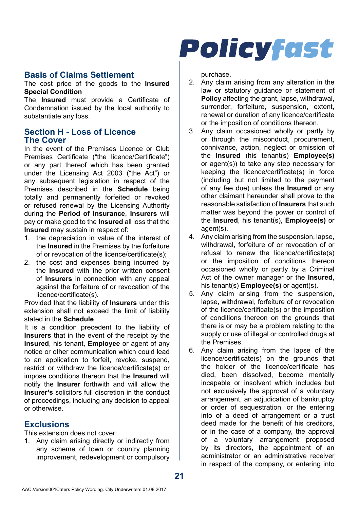### **Basis of Claims Settlement**

The cost price of the goods to the **Insured Special Condition**

The **Insured** must provide a Certificate of Condemnation issued by the local authority to substantiate any loss.

### **Section H - Loss of Licence The Cover**

In the event of the Premises Licence or Club Premises Certificate ("the licence/Certificate") or any part thereof which has been granted under the Licensing Act 2003 ("the Act") or any subsequent legislation in respect of the Premises described in the **Schedule** being totally and permanently forfeited or revoked or refused renewal by the Licensing Authority during the **Period of Insurance**, **Insurers** will pay or make good to the **Insured** all loss that the **Insured** may sustain in respect of:

- 1. the depreciation in value of the interest of the **Insured** in the Premises by the forfeiture of or revocation of the licence/certificate(s);
- 2. the cost and expenses being incurred by the **Insured** with the prior written consent of **Insurers** in connection with any appeal against the forfeiture of or revocation of the licence/certificate(s).

Provided that the liability of **Insurers** under this extension shall not exceed the limit of liability stated in the **Schedule**.

It is a condition precedent to the liability of **Insurers** that in the event of the receipt by the **Insured**, his tenant, **Employee** or agent of any notice or other communication which could lead to an application to forfeit, revoke, suspend, restrict or withdraw the licence/certificate(s) or impose conditions thereon that the **Insured** will notify the **Insurer** forthwith and will allow the **Insurer's** solicitors full discretion in the conduct of proceedings, including any decision to appeal or otherwise.

### **Exclusions**

This extension does not cover:

1. Any claim arising directly or indirectly from any scheme of town or country planning improvement, redevelopment or compulsory



purchase.

- 2. Any claim arising from any alteration in the law or statutory guidance or statement of **Policy** affecting the grant, lapse, withdrawal, surrender forfeiture, suspension extent renewal or duration of any licence/certificate or the imposition of conditions thereon.
- 3. Any claim occasioned wholly or partly by or through the misconduct, procurement, connivance, action, neglect or omission of the **Insured** (his tenant(s) **Employee(s)**  or agent(s)) to take any step necessary for keeping the licence/certificate(s) in force (including but not limited to the payment of any fee due) unless the **Insured** or any other claimant hereunder shall prove to the reasonable satisfaction of **Insurers** that such matter was beyond the power or control of the **Insured**, his tenant(s), **Employee(s)** or agent(s).
- 4. Any claim arising from the suspension, lapse, withdrawal, forfeiture of or revocation of or refusal to renew the licence/certificate(s) or the imposition of conditions thereon occasioned wholly or partly by a Criminal Act of the owner manager or the **Insured**, his tenant(s) **Employee(s)** or agent(s).
- 5. Any claim arising from the suspension, lapse, withdrawal, forfeiture of or revocation of the licence/certificate(s) or the imposition of conditions thereon on the grounds that there is or may be a problem relating to the supply or use of illegal or controlled drugs at the Premises.
- 6. Any claim arising from the lapse of the licence/certificate(s) on the grounds that the holder of the licence/certificate has died, been dissolved, become mentally incapable or insolvent which includes but not exclusively the approval of a voluntary arrangement, an adjudication of bankruptcy or order of sequestration, or the entering into of a deed of arrangement or a trust deed made for the benefit of his creditors or in the case of a company, the approval of a voluntary arrangement proposed by its directors, the appointment of an administrator or an administrative receiver in respect of the company, or entering into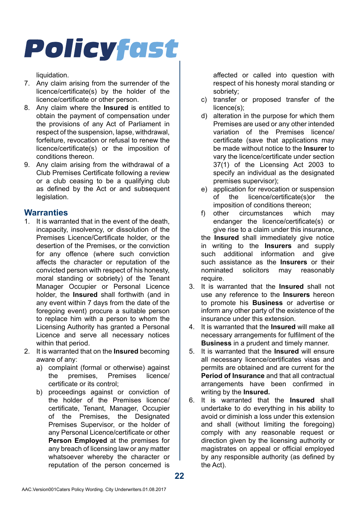liquidation.

- 7. Any claim arising from the surrender of the licence/certificate(s) by the holder of the licence/certificate or other person.
- 8. Any claim where the **Insured** is entitled to obtain the payment of compensation under the provisions of any Act of Parliament in respect of the suspension, lapse, withdrawal, forfeiture, revocation or refusal to renew the licence/certificate(s) or the imposition of conditions thereon.
- 9. Any claim arising from the withdrawal of a Club Premises Certificate following a review or a club ceasing to be a qualifying club as defined by the Act or and subsequent legislation.

### **Warranties**

- 1. It is warranted that in the event of the death, incapacity, insolvency, or dissolution of the Premises Licence/Certificate holder, or the desertion of the Premises, or the conviction for any offence (where such conviction affects the character or reputation of the convicted person with respect of his honesty, moral standing or sobriety) of the Tenant Manager Occupier or Personal Licence holder, the **Insured** shall forthwith (and in any event within 7 days from the date of the foregoing event) procure a suitable person to replace him with a person to whom the Licensing Authority has granted a Personal Licence and serve all necessary notices within that period
- 2. It is warranted that on the **Insured** becoming aware of any:
	- a) complaint (formal or otherwise) against<br>the premises. Premises licence/ the premises certificate or its control;
	- b) proceedings against or conviction of the holder of the Premises licence/ certificate, Tenant, Manager, Occupier of the Premises, the Designated Premises Supervisor, or the holder of any Personal Licence/certificate or other **Person Employed** at the premises for any breach of licensing law or any matter whatsoever whereby the character or reputation of the person concerned is

affected or called into question with respect of his honesty moral standing or sobriety;

- c) transfer or proposed transfer of the licence(s);
- d) alteration in the purpose for which them Premises are used or any other intended variation of the Premises licence/ certificate (save that applications may be made without notice to the **Insurer** to vary the licence/certificate under section 37(1) of the Licensing Act 2003 to specify an individual as the designated premises supervisor);
- e) application for revocation or suspension of the licence/certificate(s)or the imposition of conditions thereon;<br>other circumstances which
- f) other circumstances which may endanger the licence/certificate(s) or give rise to a claim under this insurance, the **Insured** shall immediately give notice in writing to the **Insurers** and supply such additional information and give such assistance as the **Insurers** or their solicitors may require.
- 3. It is warranted that the **Insured** shall not use any reference to the **Insurers** hereon to promote his **Business** or advertise or inform any other party of the existence of the insurance under this extension.
- 4. It is warranted that the **Insured** will make all necessary arrangements for fulfilment of the **Business** in a prudent and timely manner.
- 5. It is warranted that the **Insured** will ensure all necessary licence/certificates visas and permits are obtained and are current for the **Period of Insurance** and that all contractual arrangements have been confirmed in writing by the **Insured.**
- 6. It is warranted that the **Insured** shall undertake to do everything in his ability to avoid or diminish a loss under this extension and shall (without limiting the foregoing) comply with any reasonable request or direction given by the licensing authority or magistrates on appeal or official employed by any responsible authority (as defined by the Act).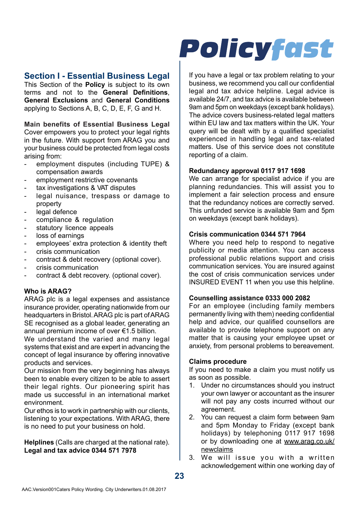### **Section I - Essential Business Legal**

This Section of the **Policy** is subject to its own terms and not to the **General Definitions**, **General Exclusions** and **General Conditions**  applying to Sections A, B, C, D, E, F, G and H.

**Main benefits of Essential Business Legal** Cover empowers you to protect your legal rights in the future. With support from ARAG you and your business could be protected from legal costs arising from:

- employment disputes (including TUPE) & compensation awards
- employment restrictive covenants
- tax investigations & VAT disputes
- legal nuisance, trespass or damage to property
- legal defence
- compliance & regulation
- statutory licence appeals
- loss of earnings
- employees' extra protection & identity theft
- crisis communication
- contract & debt recovery (optional cover).
- crisis communication
- contract & debt recovery. (optional cover).

#### **Who is ARAG?**

ARAG plc is a legal expenses and assistance insurance provider, operating nationwide from our headquarters in Bristol. ARAG plc is part of ARAG SE recognised as a global leader, generating an annual premium income of over €1.5 billion.

We understand the varied and many legal systems that exist and are expert in advancing the concept of legal insurance by offering innovative products and services.

Our mission from the very beginning has always been to enable every citizen to be able to assert their legal rights. Our pioneering spirit has made us successful in an international market environment.

Our ethos is to work in partnership with our clients, listening to your expectations. With ARAG, there is no need to put your business on hold.

**Helplines** (Calls are charged at the national rate). **Legal and tax advice 0344 571 7978**

# **Policyfast**

If you have a legal or tax problem relating to your business, we recommend you call our confidential legal and tax advice helpline. Legal advice is available 24/7, and tax advice is available between 9am and 5pm on weekdays (except bank holidays). The advice covers business-related legal matters within EU law and tax matters within the UK. Your query will be dealt with by a qualified specialist experienced in handling legal and tax-related matters. Use of this service does not constitute reporting of a claim.

#### **Redundancy approval 0117 917 1698**

We can arrange for specialist advice if you are planning redundancies. This will assist you to implement a fair selection process and ensure that the redundancy notices are correctly served. This unfunded service is available 9am and 5pm on weekdays (except bank holidays).

#### **Crisis communication 0344 571 7964**

Where you need help to respond to negative publicity or media attention. You can access professional public relations support and crisis communication services. You are insured against the cost of crisis communication services under INSURED EVENT 11 when you use this helpline.

#### **Counselling assistance 0333 000 2082**

For an employee (including family members permanently living with them) needing confidential help and advice, our qualified counsellors are available to provide telephone support on any matter that is causing your employee upset or anxiety, from personal problems to bereavement.

#### **Claims procedure**

If you need to make a claim you must notify us as soon as possible.

- 1. Under no circumstances should you instruct your own lawyer or accountant as the insurer will not pay any costs incurred without our agreement.
- 2. You can request a claim form between 9am and 5pm Monday to Friday (except bank holidays) by telephoning 0117 917 1698 or by downloading one at www.arag.co.uk/ newclaims
- 3. We will issue you with a written acknowledgement within one working day of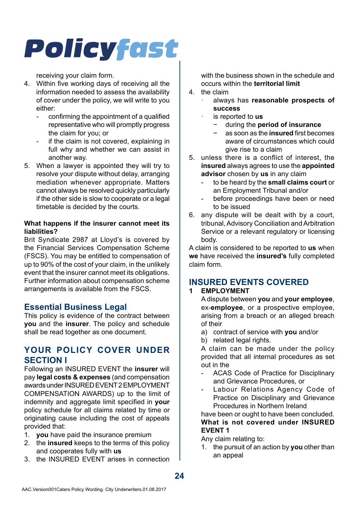receiving your claim form.

- 4. Within five working days of receiving all the information needed to assess the availability of cover under the policy, we will write to you either:
	- confirming the appointment of a qualified representative who will promptly progress the claim for you; or
	- if the claim is not covered, explaining in full why and whether we can assist in another way.
- 5. When a lawyer is appointed they will try to resolve your dispute without delay, arranging mediation whenever appropriate. Matters cannot always be resolved quickly particularly if the other side is slow to cooperate or a legal timetable is decided by the courts.

#### **What happens if the insurer cannot meet its liabilities?**

Brit Syndicate 2987 at Lloyd's is covered by the Financial Services Compensation Scheme (FSCS). You may be entitled to compensation of up to 90% of the cost of your claim, in the unlikely event that the insurer cannot meet its obligations. Further information about compensation scheme arrangements is available from the FSCS.

### **Essential Business Legal**

This policy is evidence of the contract between **you** and the **insurer**. The policy and schedule shall be read together as one document.

### **YOUR POLICY COVER UNDER SECTION I**

Following an INSURED EVENT the **insurer** will pay **legal costs & expenses** (and compensation awards under INSURED EVENT 2 EMPLOYMENT COMPENSATION AWARDS) up to the limit of indemnity and aggregate limit specified in **your**  policy schedule for all claims related by time or originating cause including the cost of appeals provided that:

- 1. **you** have paid the insurance premium
- 2. the **insured** keeps to the terms of this policy and cooperates fully with **us**
- 3. the INSURED EVENT arises in connection

with the business shown in the schedule and occurs within the **territorial limit**

- 4. the claim
	- · always has **reasonable prospects of success**
	- · is reported to **us**
		- − during the **period of insurance**
		- − as soon as the **insured** first becomes aware of circumstances which could give rise to a claim
- 5. unless there is a conflict of interest, the **insured** always agrees to use the **appointed advisor** chosen by **us** in any claim
	- to be heard by the **small claims court** or an Employment Tribunal and/or
	- before proceedings have been or need to be issued
- 6. any dispute will be dealt with by a court, tribunal, Advisory Conciliation and Arbitration Service or a relevant regulatory or licensing body.

A claim is considered to be reported to **us** when **we** have received the **insured's** fully completed claim form.

## **INSURED EVENTS COVERED**

#### **1 EMPLOYMENT**

A dispute between **you** and **your employee**, ex-**employee**, or a prospective employee, arising from a breach or an alleged breach of their

- a) contract of service with **you** and/or
- b) related legal rights.

A claim can be made under the policy provided that all internal procedures as set out in the

- ACAS Code of Practice for Disciplinary and Grievance Procedures, or
- Labour Relations Agency Code of Practice on Disciplinary and Grievance Procedures in Northern Ireland

have been or ought to have been concluded. **What is not covered under INSURED EVENT 1**

Any claim relating to:

1. the pursuit of an action by **you** other than an appeal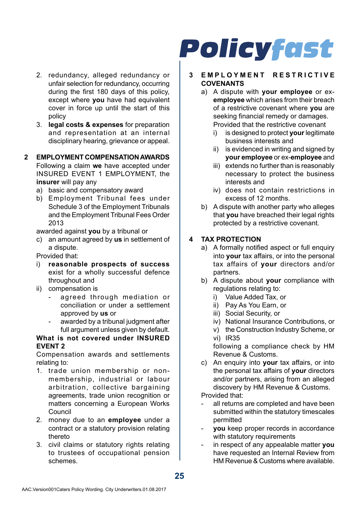- 2. redundancy, alleged redundancy or unfair selection for redundancy, occurring during the first 180 days of this policy, except where **you** have had equivalent cover in force up until the start of this policy
- 3. **legal costs & expenses** for preparation and representation at an internal disciplinary hearing, grievance or appeal.

#### **2 EMPLOYMENT COMPENSATION AWARDS**

Following a claim **we** have accepted under INSURED EVENT 1 EMPLOYMENT, the **insurer** will pay any

- a) basic and compensatory award
- b) Employment Tribunal fees under Schedule 3 of the Employment Tribunals and the Employment Tribunal Fees Order 2013

awarded against **you** by a tribunal or

- c) an amount agreed by **us** in settlement of a dispute.
- Provided that:
- i) **reasonable prospects of success**  exist for a wholly successful defence throughout and
- ii) compensation is
	- agreed through mediation or conciliation or under a settlement approved by **us** or
	- awarded by a tribunal judgment after full argument unless given by default.

#### **What is not covered under INSURED EVENT 2**

Compensation awards and settlements relating to:

- 1. trade union membership or nonmembership, industrial or labour arbitration, collective bargaining agreements, trade union recognition or matters concerning a European Works Council
- 2. money due to an **employee** under a contract or a statutory provision relating thereto
- 3. civil claims or statutory rights relating to trustees of occupational pension schemes.

# **Policyfast**

#### **3 E M P L O Y M E N T R E S T R I C T I V E COVENANTS**

- a) A dispute with **your employee** or ex**employee** which arises from their breach of a restrictive covenant where **you** are seeking financial remedy or damages. Provided that the restrictive covenant
	- i) is designed to protect **your** legitimate business interests and
	- ii) is evidenced in writing and signed by **your employee** or ex-**employee** and
	- iii) extends no further than is reasonably necessary to protect the business interests and
	- iv) does not contain restrictions in excess of 12 months.
- b) A dispute with another party who alleges that **you** have breached their legal rights protected by a restrictive covenant.

#### **4 TAX PROTECTION**

- a) A formally notified aspect or full enquiry into **your** tax affairs, or into the personal tax affairs of **your** directors and/or partners.
- b) A dispute about **your** compliance with regulations relating to:
	- i) Value Added Tax, or
	- ii) Pay As You Earn, or
	- iii) Social Security, or
	- iv) National Insurance Contributions, or
	- v) the Construction Industry Scheme, or vi) IR35

following a compliance check by HM Revenue & Customs.

c) An enquiry into **your** tax affairs, or into the personal tax affairs of **your** directors and/or partners, arising from an alleged discovery by HM Revenue & Customs.

Provided that:

- all returns are completed and have been submitted within the statutory timescales permitted
- **vou** keep proper records in accordance with statutory requirements
- in respect of any appealable matter **you** have requested an Internal Review from HM Revenue & Customs where available.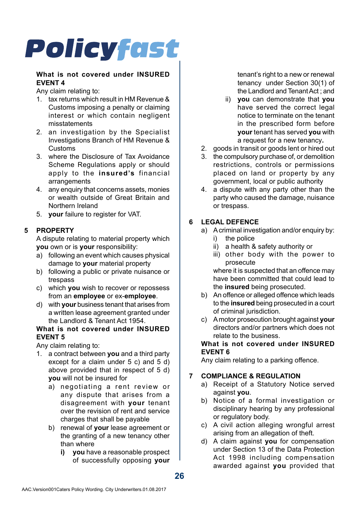#### **What is not covered under INSURED EVENT 4**

Any claim relating to:

- 1. tax returns which result in HM Revenue & Customs imposing a penalty or claiming interest or which contain negligent misstatements
- 2. an investigation by the Specialist Investigations Branch of HM Revenue & Customs
- 3. where the Disclosure of Tax Avoidance Scheme Regulations apply or should apply to the **insured's** financial arrangements
- 4. any enquiry that concerns assets, monies or wealth outside of Great Britain and Northern Ireland
- 5. **your** failure to register for VAT.

### **5 PROPERTY**

A dispute relating to material property which **you** own or is **your** responsibility:

- a) following an event which causes physical damage to **your** material property
- b) following a public or private nuisance or trespass
- c) which **you** wish to recover or repossess from an **employee** or ex-**employee**.
- d) with **your** business tenant that arises from a written lease agreement granted under the Landlord & Tenant Act 1954.

#### **What is not covered under INSURED EVENT 5**

Any claim relating to:

- 1. a contract between **you** and a third party except for a claim under 5 c) and 5 d) above provided that in respect of 5 d) **you** will not be insured for
	- a) negotiating a rent review or any dispute that arises from a disagreement with **your** tenant over the revision of rent and service charges that shall be payable
	- b) renewal of **your** lease agreement or the granting of a new tenancy other than where
		- **i)** vou have a reasonable prospect of successfully opposing **your**

tenant's right to a new or renewal tenancy under Section 30(1) of the Landlord and Tenant Act ; and

- ii) **you** can demonstrate that **you**  have served the correct legal notice to terminate on the tenant in the prescribed form before **your** tenant has served **you** with a request for a new tenancy**.**
- 2. goods in transit or goods lent or hired out
- 3. the compulsory purchase of, or demolition restrictions, controls or permissions placed on land or property by any government, local or public authority
- 4. a dispute with any party other than the party who caused the damage, nuisance or trespass.

#### **6 LEGAL DEFENCE**

- a) A criminal investigation and/or enquiry by:
	- i) the police
	- ii) a health & safety authority or
	- iii) other body with the power to prosecute

where it is suspected that an offence may have been committed that could lead to the **insured** being prosecuted.

- b) An offence or alleged offence which leads to the **insured** being prosecuted in a court of criminal jurisdiction.
- c) A motor prosecution brought against **your** directors and/or partners which does not relate to the business.

#### **What is not covered under INSURED EVENT 6**

Any claim relating to a parking offence.

#### **7 COMPLIANCE & REGULATION**

- a) Receipt of a Statutory Notice served against **you**.
- b) Notice of a formal investigation or disciplinary hearing by any professional or regulatory body.
- c) A civil action alleging wrongful arrest arising from an allegation of theft.
- d) A claim against **you** for compensation under Section 13 of the Data Protection Act 1998 including compensation awarded against **you** provided that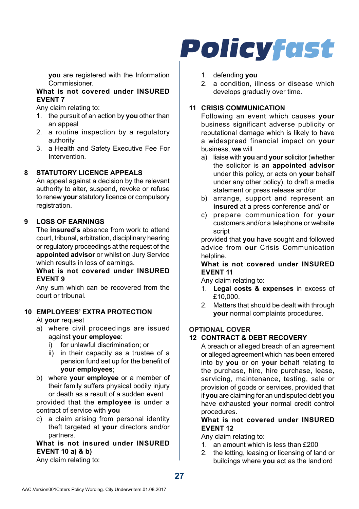**you** are registered with the Information Commissioner.

#### **What is not covered under INSURED EVENT 7**

Any claim relating to:

- 1. the pursuit of an action by **you** other than an appeal
- 2. a routine inspection by a regulatory authority
- 3. a Health and Safety Executive Fee For Intervention.

#### **8 STATUTORY LICENCE APPEALS**

An appeal against a decision by the relevant authority to alter, suspend, revoke or refuse to renew **your** statutory licence or compulsory registration.

#### **9 LOSS OF EARNINGS**

The **insured's** absence from work to attend court, tribunal, arbitration, disciplinary hearing or regulatory proceedings at the request of the **appointed advisor** or whilst on Jury Service which results in loss of earnings.

#### **What is not covered under INSURED EVENT 9**

Any sum which can be recovered from the court or tribunal.

#### **10 EMPLOYEES' EXTRA PROTECTION**

At **your** request

- a) where civil proceedings are issued against **your employee**:
	- i) for unlawful discrimination; or
	- ii) in their capacity as a trustee of a pension fund set up for the benefit of **your employees**;
- b) where **your employee** or a member of their family suffers physical bodily injury or death as a result of a sudden event provided that the **employee** is under a

contract of service with **you**

c) a claim arising from personal identity theft targeted at **your** directors and/or partners.

#### **What is not insured under INSURED EVENT 10 a) & b)**

Any claim relating to:

## **Policyfast**

- 1. defending **you**
- 2. a condition, illness or disease which develops gradually over time.

#### **11 CRISIS COMMUNICATION**

Following an event which causes **your** business significant adverse publicity or reputational damage which is likely to have a widespread financial impact on **your** business, **we** will

- a) liaise with **you** and **your** solicitor (whether the solicitor is an **appointed advisor**  under this policy, or acts on **your** behalf under any other policy), to draft a media statement or press release and/or
- b) arrange, support and represent an **insured** at a press conference and/ or
- c) prepare communication for **your** customers and/or a telephone or website script

provided that **you** have sought and followed advice from **our** Crisis Communication helpline

#### **What is not covered under INSURED EVENT 11**

Any claim relating to:

- 1. **Legal costs & expenses** in excess of £10,000.
- 2. Matters that should be dealt with through **your** normal complaints procedures.

#### **OPTIONAL COVER**

#### **12 CONTRACT & DEBT RECOVERY**

A breach or alleged breach of an agreement or alleged agreement which has been entered into by **you** or on **your** behalf relating to the purchase, hire, hire purchase, lease, servicing, maintenance, testing, sale or provision of goods or services, provided that if **you** are claiming for an undisputed debt **you** have exhausted **your** normal credit control procedures.

#### **What is not covered under INSURED EVENT 12**

Any claim relating to:

- 1. an amount which is less than £200
- 2. the letting, leasing or licensing of land or buildings where **you** act as the landlord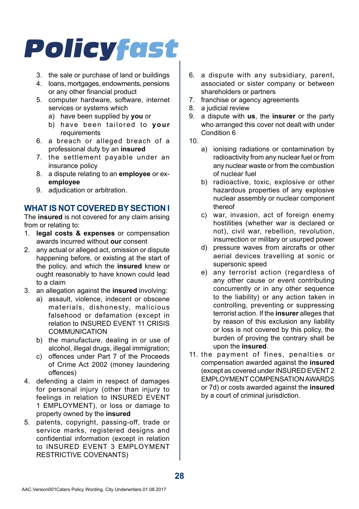- 3. the sale or purchase of land or buildings
- 4. loans, mortgages, endowments, pensions or any other financial product
- 5. computer hardware, software, internet services or systems which
	- a) have been supplied by **you** or
	- b) have been tailored to **your** requirements
- 6. a breach or alleged breach of a professional duty by an **insured**
- 7. the settlement payable under an insurance policy
- 8. a dispute relating to an **employee** or ex**employee**
- 9. adiudication or arbitration.

## **WHAT IS NOT COVERED BY SECTION I**

The **insured** is not covered for any claim arising from or relating to:

- 1. **legal costs & expenses** or compensation awards incurred without **our** consent
- 2. any actual or alleged act, omission or dispute happening before, or existing at the start of the policy, and which the **insured** knew or ought reasonably to have known could lead to a claim
- 3. an allegation against the **insured** involving:
	- a) assault, violence, indecent or obscene materials, dishonesty, malicious falsehood or defamation (except in relation to INSURED EVENT 11 CRISIS COMMUNICATION
	- b) the manufacture, dealing in or use of alcohol, illegal drugs, illegal immigration;
	- c) offences under Part 7 of the Proceeds of Crime Act 2002 (money laundering offences)
- 4. defending a claim in respect of damages for personal injury (other than injury to feelings in relation to INSURED EVENT 1 EMPLOYMENT), or loss or damage to property owned by the **insured**
- 5. patents, copyright, passing-off, trade or service marks, registered designs and confidential information (except in relation to INSURED EVENT 3 EMPLOYMENT RESTRICTIVE COVENANTS)
- 6. a dispute with any subsidiary, parent, associated or sister company or between shareholders or partners
- 7. franchise or agency agreements
- 8. a judicial review
- 9. a dispute with **us**, the **insurer** or the party who arranged this cover not dealt with under Condition 6
- 10.
	- a) ionising radiations or contamination by radioactivity from any nuclear fuel or from any nuclear waste or from the combustion of nuclear fuel
	- b) radioactive, toxic, explosive or other hazardous properties of any explosive nuclear assembly or nuclear component thereof
	- c) war, invasion, act of foreign enemy hostilities (whether war is declared or not), civil war, rebellion, revolution, insurrection or military or usurped power
	- d) pressure waves from aircrafts or other aerial devices travelling at sonic or supersonic speed
	- e) any terrorist action (regardless of any other cause or event contributing concurrently or in any other sequence to the liability) or any action taken in controlling, preventing or suppressing terrorist action. If the **insurer** alleges that by reason of this exclusion any liability or loss is not covered by this policy, the burden of proving the contrary shall be upon the **insured**.
- 11. the payment of fines, penalties or compensation awarded against the **insured** (except as covered under INSURED EVENT 2 EMPLOYMENT COMPENSATION AWARDS or 7d) or costs awarded against the **insured** by a court of criminal jurisdiction.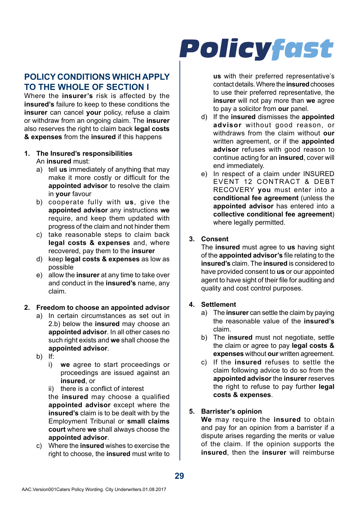## **POLICY CONDITIONS WHICH APPLY TO THE WHOLE OF SECTION I**

Where the **insurer's** risk is affected by the **insured's** failure to keep to these conditions the **insurer** can cancel **your** policy, refuse a claim or withdraw from an ongoing claim. The **insurer**  also reserves the right to claim back **legal costs & expenses** from the **insured** if this happens

- **1. The Insured's responsibilities** An **insured** must:
	- a) tell **us** immediately of anything that may make it more costly or difficult for the **appointed advisor** to resolve the claim in **your** favour
	- b) cooperate fully with **us**, give the **appointed advisor** any instructions **we** require, and keep them updated with progress of the claim and not hinder them
	- c) take reasonable steps to claim back **legal costs & expenses** and, where recovered, pay them to the **insurer**
	- d) keep **legal costs & expenses** as low as possible
	- e) allow the **insurer** at any time to take over and conduct in the **insured's** name, any claim.

#### **2. Freedom to choose an appointed advisor**

- a) In certain circumstances as set out in 2.b) below the **insured** may choose an **appointed advisor**. In all other cases no such right exists and **we** shall choose the **appointed advisor**.
- b) If:
	- i) **we** agree to start proceedings or proceedings are issued against an **insured**, or
	- ii) there is a conflict of interest the **insured** may choose a qualified **appointed advisor** except where the **insured's** claim is to be dealt with by the Employment Tribunal or **small claims court** where **we** shall always choose the **appointed advisor**.
- c) Where the **insured** wishes to exercise the right to choose, the **insured** must write to

# **Policyfast**

**us** with their preferred representative's contact details. Where the **insured** chooses to use their preferred representative, the **insurer** will not pay more than **we** agree to pay a solicitor from **our** panel.

- d) If the **insured** dismisses the **appointed advisor** without good reason, or withdraws from the claim without **our** written agreement, or if the **appointed advisor** refuses with good reason to continue acting for an **insured**, cover will end immediately.
- e) In respect of a claim under INSURED EVENT 12 CONTRACT & DEBT RECOVERY **you** must enter into a **conditional fee agreement** (unless the **appointed advisor** has entered into a **collective conditional fee agreement**) where legally permitted.

#### **3. Consent**

The **insured** must agree to **us** having sight of the **appointed advisor's** file relating to the **insured's** claim. The **insured** is considered to have provided consent to **us** or our appointed agent to have sight of their file for auditing and quality and cost control purposes.

#### **4. Settlement**

- a) The **insurer** can settle the claim by paying the reasonable value of the **insured's** claim.
- b) The **insured** must not negotiate, settle the claim or agree to pay **legal costs & expenses** without **our** written agreement.
- c) If the **insured** refuses to settle the claim following advice to do so from the **appointed advisor** the **insurer** reserves the right to refuse to pay further **legal costs & expenses**.

#### **5. Barrister's opinion**

**We** may require the **insured** to obtain and pay for an opinion from a barrister if a dispute arises regarding the merits or value of the claim. If the opinion supports the **insured**, then the **insurer** will reimburse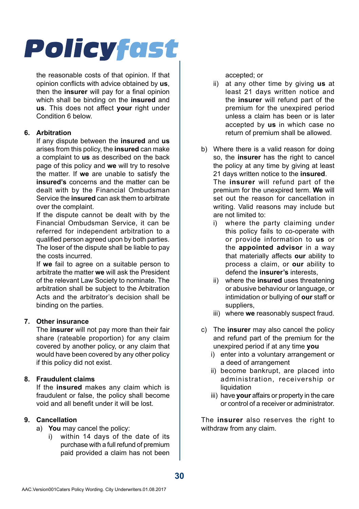the reasonable costs of that opinion. If that opinion conflicts with advice obtained by **us**, then the **insurer** will pay for a final opinion which shall be binding on the **insured** and **us**. This does not affect **your** right under Condition 6 below.

#### **6. Arbitration**

If any dispute between the **insured** and **us**  arises from this policy, the **insured** can make a complaint to **us** as described on the back page of this policy and **we** will try to resolve the matter. If **we** are unable to satisfy the **insured's** concerns and the matter can be dealt with by the Financial Ombudsman Service the **insured** can ask them to arbitrate over the complaint.

If the dispute cannot be dealt with by the Financial Ombudsman Service, it can be referred for independent arbitration to a qualified person agreed upon by both parties. The loser of the dispute shall be liable to pay the costs incurred.

If **we** fail to agree on a suitable person to arbitrate the matter **we** will ask the President of the relevant Law Society to nominate. The arbitration shall be subject to the Arbitration Acts and the arbitrator's decision shall be binding on the parties.

#### **7. Other insurance**

The **insurer** will not pay more than their fair share (rateable proportion) for any claim covered by another policy, or any claim that would have been covered by any other policy if this policy did not exist.

#### **8. Fraudulent claims**

If the **insured** makes any claim which is fraudulent or false, the policy shall become void and all benefit under it will be lost.

#### **9. Cancellation**

- a) **You** may cancel the policy:
	- i) within 14 days of the date of its purchase with a full refund of premium paid provided a claim has not been

accepted; or

- ii) at any other time by giving **us** at least 21 days written notice and the **insurer** will refund part of the premium for the unexpired period unless a claim has been or is later accepted by **us** in which case no return of premium shall be allowed.
- b) Where there is a valid reason for doing so, the **insurer** has the right to cancel the policy at any time by giving at least 21 days written notice to the **insured**. The **insurer** will refund part of the premium for the unexpired term. **We** will set out the reason for cancellation in writing. Valid reasons may include but are not limited to:
	- i) where the party claiming under this policy fails to co-operate with or provide information to **us** or the **appointed advisor** in a way that materially affects **our** ability to process a claim, or **our** ability to defend the **insurer's** interests,
	- ii) where the **insured** uses threatening or abusive behaviour or language, or intimidation or bullying of **our** staff or suppliers,
	- iii) where **we** reasonably suspect fraud.
- c) The **insurer** may also cancel the policy and refund part of the premium for the unexpired period if at any time **you**
	- i) enter into a voluntary arrangement or a deed of arrangement
	- ii) become bankrupt, are placed into administration, receivership or liquidation
	- iii) have **your** affairs or property in the care or control of a receiver or administrator.

The **insurer** also reserves the right to withdraw from any claim.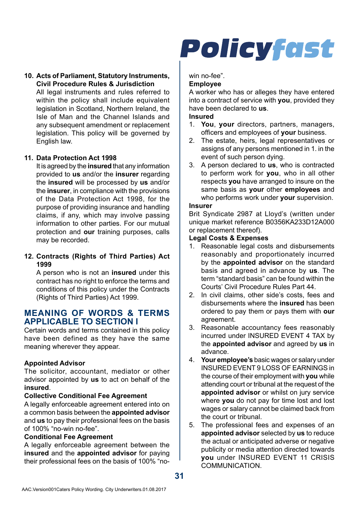#### **10. Acts of Parliament, Statutory Instruments, Civil Procedure Rules & Jurisdiction**

All legal instruments and rules referred to within the policy shall include equivalent legislation in Scotland, Northern Ireland, the Isle of Man and the Channel Islands and any subsequent amendment or replacement legislation. This policy will be governed by English law.

#### **11. Data Protection Act 1998**

It is agreed by the **insured** that any information provided to **us** and/or the **insurer** regarding the **insured** will be processed by **us** and/or the **insurer**, in compliance with the provisions of the Data Protection Act 1998, for the purpose of providing insurance and handling claims, if any, which may involve passing information to other parties. For our mutual protection and **our** training purposes, calls may be recorded.

#### **12. Contracts (Rights of Third Parties) Act 1999**

A person who is not an **insured** under this contract has no right to enforce the terms and conditions of this policy under the Contracts (Rights of Third Parties) Act 1999.

### **MEANING OF WORDS & TERMS APPLICABLE TO SECTION I**

Certain words and terms contained in this policy have been defined as they have the same meaning wherever they appear.

#### **Appointed Advisor**

The solicitor, accountant, mediator or other advisor appointed by **us** to act on behalf of the **insured**.

#### **Collective Conditional Fee Agreement**

A legally enforceable agreement entered into on a common basis between the **appointed advisor**  and **us** to pay their professional fees on the basis of 100% "no-win no-fee".

#### **Conditional Fee Agreement**

A legally enforceable agreement between the **insured** and the **appointed advisor** for paying their professional fees on the basis of 100% "no-

# **Policyfast**

win no-fee"

#### **Employee**

A worker who has or alleges they have entered into a contract of service with **you**, provided they have been declared to **us**.

#### **Insured**

- 1. **You**, **your** directors, partners, managers, officers and employees of **your** business.
- 2. The estate, heirs, legal representatives or assigns of any persons mentioned in 1. in the event of such person dying.
- 3. A person declared to **us**, who is contracted to perform work for **you**, who in all other respects **you** have arranged to insure on the same basis as **your** other **employees** and who performs work under **your** supervision.

#### **Insurer**

Brit Syndicate 2987 at Lloyd's (written under unique market reference B0356KA233D12A000 or replacement thereof).

#### **Legal Costs & Expenses**

- 1. Reasonable legal costs and disbursements reasonably and proportionately incurred by the **appointed advisor** on the standard basis and agreed in advance by **us**. The term "standard basis" can be found within the Courts' Civil Procedure Rules Part 44.
- 2. In civil claims, other side's costs, fees and disbursements where the **insured** has been ordered to pay them or pays them with **our**  agreement.
- 3. Reasonable accountancy fees reasonably incurred under INSURED EVENT 4 TAX by the **appointed advisor** and agreed by **us** in advance.
- 4. **Your employee's** basic wages or salary under INSURED EVENT 9 LOSS OF EARNINGS in the course of their employment with **you** while attending court or tribunal at the request of the **appointed advisor** or whilst on jury service where **you** do not pay for time lost and lost wages or salary cannot be claimed back from the court or tribunal.
- 5. The professional fees and expenses of an **appointed advisor** selected by **us** to reduce the actual or anticipated adverse or negative publicity or media attention directed towards **you** under INSURED EVENT 11 CRISIS COMMUNICATION.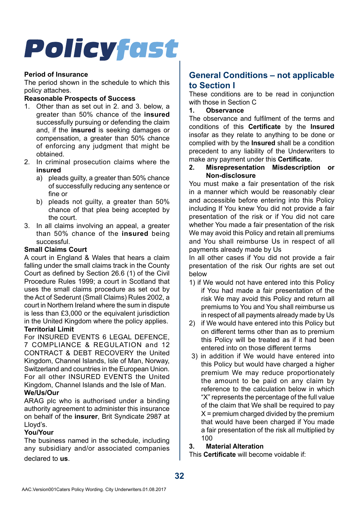#### **Period of Insurance**

The period shown in the schedule to which this policy attaches.

#### **Reasonable Prospects of Success**

- 1. Other than as set out in 2. and 3. below, a greater than 50% chance of the **insured**  successfully pursuing or defending the claim and, if the **insured** is seeking damages or compensation, a greater than 50% chance of enforcing any judgment that might be obtained.
- 2. In criminal prosecution claims where the **insured**
	- a) pleads quilty, a greater than 50% chance of successfully reducing any sentence or fine or
	- b) pleads not guilty, a greater than 50% chance of that plea being accepted by the court.
- 3. In all claims involving an appeal, a greater than 50% chance of the **insured** being successful.

#### **Small Claims Court**

A court in England & Wales that hears a claim falling under the small claims track in the County Court as defined by Section 26.6 (1) of the Civil Procedure Rules 1999; a court in Scotland that uses the small claims procedure as set out by the Act of Sederunt (Small Claims) Rules 2002, a court in Northern Ireland where the sum in dispute is less than £3,000 or the equivalent jurisdiction in the United Kingdom where the policy applies. **Territorial Limit**

For INSURED EVENTS 6 LEGAL DEFENCE, 7 COMPLIANCE & REGULATION and 12 CONTRACT & DEBT RECOVERY the United Kingdom, Channel Islands, Isle of Man, Norway, Switzerland and countries in the European Union. For all other INSURED EVENTS the United Kingdom, Channel Islands and the Isle of Man. **We/Us/Our**

ARAG plc who is authorised under a binding authority agreement to administer this insurance on behalf of the **insurer**, Brit Syndicate 2987 at Lloyd's.

#### **You/Your**

The business named in the schedule, including any subsidiary and/or associated companies declared to **us**.

## **General Conditions – not applicable to Section I**

These conditions are to be read in conjunction with those in Section C

**1. Observance**

The observance and fulfilment of the terms and conditions of this **Certificate** by the **Insured**  insofar as they relate to anything to be done or complied with by the **Insured** shall be a condition precedent to any liability of the Underwriters to make any payment under this **Certificate.**<br>2 **Misrepresentation Misdescription** 

**2. Misrepresentation Misdescription or Non-disclosure**

You must make a fair presentation of the risk in a manner which would be reasonably clear and accessible before entering into this Policy including If You knew You did not provide a fair presentation of the risk or if You did not care whether You made a fair presentation of the risk We may avoid this Policy and retain all premiums and You shall reimburse Us in respect of all payments already made by Us

In all other cases if You did not provide a fair presentation of the risk Our rights are set out below

- 1) if We would not have entered into this Policy if You had made a fair presentation of the risk We may avoid this Policy and return all premiums to You and You shall reimburse us in respect of all payments already made by Us
- 2) if We would have entered into this Policy but on different terms other than as to premium this Policy will be treated as if it had been entered into on those different terms
- 3) in addition if We would have entered into this Policy but would have charged a higher premium We may reduce proportionately the amount to be paid on any claim by reference to the calculation below in which "X" represents the percentage of the full value of the claim that We shall be required to pay  $X =$  premium charged divided by the premium that would have been charged if You made a fair presentation of the risk all multiplied by  $100$

#### **3. Material Alteration**

This **Certificate** will become voidable if: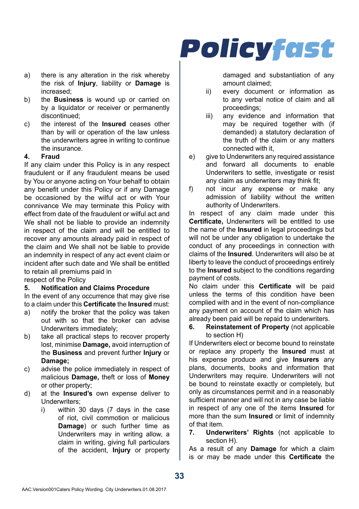- a) there is any alteration in the risk whereby the risk of **Injury**, liability or **Damage** is increased;
- b) the **Business** is wound up or carried on by a liquidator or receiver or permanently discontinued;
- c) the interest of the **Insured** ceases other than by will or operation of the law unless the underwriters agree in writing to continue the insurance.

### **4. Fraud**

If any claim under this Policy is in any respect fraudulent or if any fraudulent means be used by You or anyone acting on Your behalf to obtain any benefit under this Policy or if any Damage be occasioned by the wilful act or with Your connivance We may terminate this Policy with effect from date of the fraudulent or wilful act and We shall not be liable to provide an indemnity in respect of the claim and will be entitled to recover any amounts already paid in respect of the claim and We shall not be liable to provide an indemnity in respect of any act event claim or incident after such date and We shall be entitled to retain all premiums paid in

respect of the Policy<br>5 **Notification an** 

### **5. Notification and Claims Procedure**

In the event of any occurrence that may give rise to a claim under this **Certificate** the **Insured** must:

- a) notify the broker that the policy was taken out with so that the broker can advise Underwriters immediately;
- b) take all practical steps to recover property lost, minimise **Damage,** avoid interruption of the **Business** and prevent further **Injury** or **Damage;**
- c) advise the police immediately in respect of malicious **Damage,** theft or loss of **Money**  or other property;
- d) at the **Insured's** own expense deliver to Underwriters;
	- i) within 30 days (7 days in the case of riot, civil commotion or malicious **Damage**) or such further time as Underwriters may in writing allow, a claim in writing, giving full particulars of the accident, **Injury** or property

damaged and substantiation of any amount claimed;

- ii) every document or information as to any verbal notice of claim and all proceedings;
- iii) any evidence and information that may be required together with (if demanded) a statutory declaration of the truth of the claim or any matters connected with it,
- e) give to Underwriters any required assistance and forward all documents to enable Underwriters to settle, investigate or resist any claim as underwriters may think fit;
- f) not incur any expense or make any admission of liability without the written authority of Underwriters.

In respect of any claim made under this **Certificate,** Underwriters will be entitled to use the name of the **Insured** in legal proceedings but will not be under any obligation to undertake the conduct of any proceedings in connection with claims of the **Insured**. Underwriters will also be at liberty to leave the conduct of proceedings entirely to the **Insured** subject to the conditions regarding payment of costs.

No claim under this **Certificate** will be paid unless the terms of this condition have been complied with and in the event of non-compliance any payment on account of the claim which has already been paid will be repaid to underwriters.

**6. Reinstatement of Property** (not applicable to section H)

If Underwriters elect or become bound to reinstate or replace any property the **Insured** must at his expense produce and give **Insurers** any plans, documents, books and information that Underwriters may require. Underwriters will not be bound to reinstate exactly or completely, but only as circumstances permit and in a reasonably sufficient manner and will not in any case be liable in respect of any one of the items **Insured** for more than the sum **Insured** or limit of indemnity of that item.

**7. Underwriters' Rights** (not applicable to section H).

As a result of any **Damage** for which a claim is or may be made under this **Certificate** the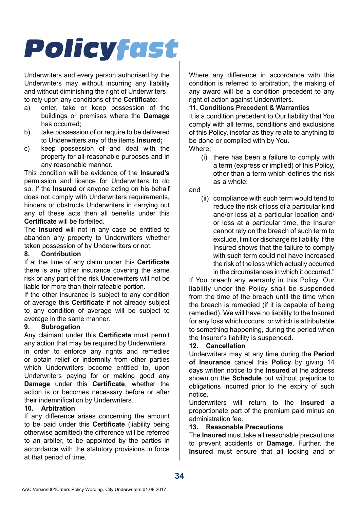Underwriters and every person authorised by the Underwriters may without incurring any liability and without diminishing the right of Underwriters to rely upon any conditions of the **Certificate**:

- a) enter, take or keep possession of the buildings or premises where the **Damage**  has occurred;
- b) take possession of or require to be delivered to Underwriters any of the items **Insured;**
- c) keep possession of and deal with the property for all reasonable purposes and in any reasonable manner.

This condition will be evidence of the **Insured's**  permission and licence for Underwriters to do so. If the **Insured** or anyone acting on his behalf does not comply with Underwriters requirements, hinders or obstructs Underwriters in carrying out any of these acts then all benefits under this **Certificate** will be forfeited.

The **Insured** will not in any case be entitled to abandon any property to Underwriters whether taken possession of by Underwriters or not.<br>8 Contribution

#### **8. Contribution**

If at the time of any claim under this **Certificate**  there is any other insurance covering the same risk or any part of the risk Underwriters will not be liable for more than their rateable portion.

If the other insurance is subject to any condition of average this **Certificate** if not already subject to any condition of average will be subject to average in the same manner.

#### **9. Subrogation**

Any claimant under this **Certificate** must permit any action that may be required by Underwriters in order to enforce any rights and remedies or obtain relief or indemnity from other parties which Underwriters become entitled to, upon Underwriters paying for or making good any **Damage** under this **Certificate**, whether the action is or becomes necessary before or after their indemnification by Underwriters.

#### **10. Arbitration**

If any difference arises concerning the amount to be paid under this **Certificate** (liability being otherwise admitted) the difference will be referred to an arbiter, to be appointed by the parties in accordance with the statutory provisions in force at that period of time.

Where any difference in accordance with this condition is referred to arbitration, the making of any award will be a condition precedent to any right of action against Underwriters.

#### **11. Conditions Precedent & Warranties**

It is a condition precedent to Our liability that You comply with all terms, conditions and exclusions of this Policy, insofar as they relate to anything to be done or complied with by You. Where:

(i) there has been a failure to comply with a term (express or implied) of this Policy, other than a term which defines the risk as a whole;

and

(ii) compliance with such term would tend to reduce the risk of loss of a particular kind and/or loss at a particular location and/ or loss at a particular time, the Insurer cannot rely on the breach of such term to exclude, limit or discharge its liability if the Insured shows that the failure to comply with such term could not have increased the risk of the loss which actually occurred in the circumstances in which it occurred."

If You breach any warranty in this Policy, Our liability under the Policy shall be suspended from the time of the breach until the time when the breach is remedied (if it is capable of being remedied). We will have no liability to the Insured for any loss which occurs, or which is attributable to something happening, during the period when the Insurer's liability is suspended.

#### **12. Cancellation**

Underwriters may at any time during the **Period of Insurance** cancel this **Policy** by giving 14 days written notice to the **Insured** at the address shown on the **Schedule** but without prejudice to obligations incurred prior to the expiry of such notice.

Underwriters will return to the **Insured** a proportionate part of the premium paid minus an administration fee.

#### **13. Reasonable Precautions**

The **Insured** must take all reasonable precautions to prevent accidents or **Damage**. Further, the **Insured** must ensure that all locking and or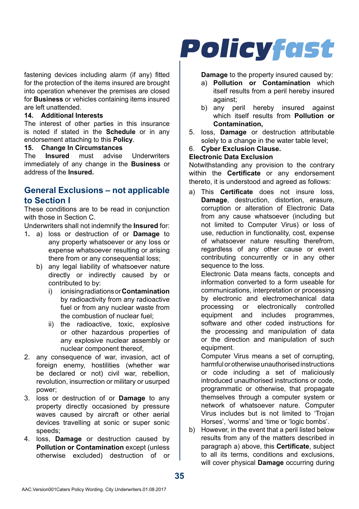fastening devices including alarm (if any) fitted for the protection of the items insured are brought into operation whenever the premises are closed for **Business** or vehicles containing items insured are left unattended.

#### **14. Additional Interests**

The interest of other parties in this insurance is noted if stated in the **Schedule** or in any endorsement attaching to this **Policy**.

## **15.** Change In Circumstances<br>The Insured must advise

**I** Inderwriters immediately of any change in the **Business** or address of the **Insured.**

### **General Exclusions – not applicable to Section I**

These conditions are to be read in conjunction with those in Section C.

Underwriters shall not indemnify the **Insured** for:

- 1**.** a) loss or destruction of or **Damage** to any property whatsoever or any loss or expense whatsoever resulting or arising there from or any consequential loss;
	- b) any legal liability of whatsoever nature directly or indirectly caused by or contributed to by:
		- i) ionising radiations or **Contamination**  by radioactivity from any radioactive fuel or from any nuclear waste from the combustion of nuclear fuel;
		- ii) the radioactive, toxic, explosive or other hazardous properties of any explosive nuclear assembly or nuclear component thereof,
- 2. any consequence of war, invasion, act of foreign enemy, hostilities (whether war be declared or not) civil war, rebellion, revolution, insurrection or military or usurped power;
- 3. loss or destruction of or **Damage** to any property directly occasioned by pressure waves caused by aircraft or other aerial devices travelling at sonic or super sonic speeds;
- 4. loss, **Damage** or destruction caused by **Pollution or Contamination** except (unless otherwise excluded) destruction of or

## **Policyfast**

#### **Damage** to the property insured caused by:

- a) **Pollution or Contamination** which itself results from a peril hereby insured against;
- b) any peril hereby insured against which itself results from **Pollution or Contamination,**
- 5. loss, **Damage** or destruction attributable solely to a change in the water table level:
- 6. **Cyber Exclusion Clause.**

#### **Electronic Data Exclusion**

Notwithstanding any provision to the contrary within the **Certificate** or any endorsement thereto, it is understood and agreed as follows:

a) This **Certificate** does not insure loss, **Damage**, destruction, distortion, erasure, corruption or alteration of Electronic Data from any cause whatsoever (including but not limited to Computer Virus) or loss of use, reduction in functionality, cost, expense of whatsoever nature resulting therefrom, regardless of any other cause or event contributing concurrently or in any other sequence to the loss.

Electronic Data means facts, concepts and information converted to a form useable for communications, interpretation or processing by electronic and electromechanical data processing or electronically controlled<br>equipment and includes programmes. equipment and includes software and other coded instructions for the processing and manipulation of data or the direction and manipulation of such equipment.

Computer Virus means a set of corrupting, harmful or otherwise unauthorised instructions or code including a set of maliciously introduced unauthorised instructions or code, programmatic or otherwise, that propagate themselves through a computer system or network of whatsoever nature. Computer Virus includes but is not limited to 'Trojan Horses', 'worms' and 'time or 'logic bombs'.

b) However, in the event that a peril listed below results from any of the matters described in paragraph a) above, this **Certificate**, subject to all its terms, conditions and exclusions, will cover physical **Damage** occurring during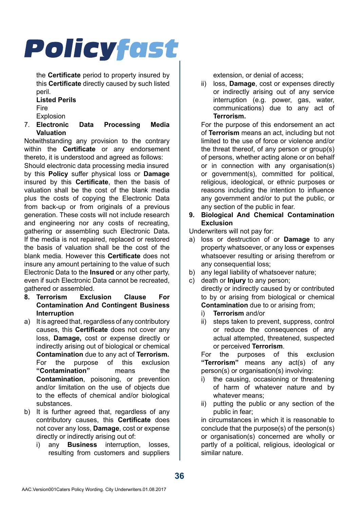the **Certificate** period to property insured by this **Certificate** directly caused by such listed peril.

## **Listed Perils**

Fire

- 
- Explosion<br>7 Electronic Data Processing Media **Valuation**

Notwithstanding any provision to the contrary within the **Certificate** or any endorsement thereto, it is understood and agreed as follows:

Should electronic data processing media insured by this **Policy** suffer physical loss or **Damage**  insured by this **Certificate**, then the basis of valuation shall be the cost of the blank media plus the costs of copying the Electronic Data from back-up or from originals of a previous generation. These costs will not include research and engineering nor any costs of recreating, gathering or assembling such Electronic Data**.**  If the media is not repaired, replaced or restored the basis of valuation shall be the cost of the blank media. However this **Certificate** does not insure any amount pertaining to the value of such Electronic Data to the **Insured** or any other party, even if such Electronic Data cannot be recreated gathered or assembled.

- **8. Terrorism Exclusion Clause For Contamination And Contingent Business Interruption**
- a) It is agreed that, regardless of any contributory causes, this **Certificate** does not cover any loss, **Damage,** cost or expense directly or indirectly arising out of biological or chemical **Contamination** due to any act of **Terrorism.**  For the purpose of this exclusion<br>"Contamination" means the "Contamination" **Contamination**, poisoning, or prevention and/or limitation on the use of objects due to the effects of chemical and/or biological substances.
- b) It is further agreed that, regardless of any contributory causes, this **Certificate** does not cover any loss, **Damage**, cost or expense directly or indirectly arising out of:
	- i) any **Business** interruption, losses, resulting from customers and suppliers

extension, or denial of access;

ii) loss, **Damage**, cost or expenses directly or indirectly arising out of any service interruption (e.g. power, gas, water, communications) due to any act of **Terrorism.**

For the purpose of this endorsement an act of **Terrorism** means an act, including but not limited to the use of force or violence and/or the threat thereof, of any person or group(s) of persons, whether acting alone or on behalf or in connection with any organisation(s) or government(s), committed for political, religious, ideological, or ethnic purposes or reasons including the intention to influence any government and/or to put the public, or any section of the public in fear.

**9. Biological And Chemical Contamination Exclusion**

Underwriters will not pay for:

- a) loss or destruction of or **Damage** to any property whatsoever, or any loss or expenses whatsoever resulting or arising therefrom or any consequential loss;
- b) any legal liability of whatsoever nature;
- c) death or **Injury** to any person; directly or indirectly caused by or contributed to by or arising from biological or chemical **Contamination** due to or arising from:
	- i) **Terrorism** and/or
	- steps taken to prevent, suppress, control or reduce the consequences of any actual attempted, threatened, suspected or perceived **Terrorism**.

For the purposes of this exclusion **"Terrorism"** means any act(s) of any person(s) or organisation(s) involving:

- i) the causing, occasioning or threatening of harm of whatever nature and by whatever means:
- ii) putting the public or any section of the public in fear;

in circumstances in which it is reasonable to conclude that the purpose(s) of the person(s) or organisation(s) concerned are wholly or partly of a political, religious, ideological or similar nature.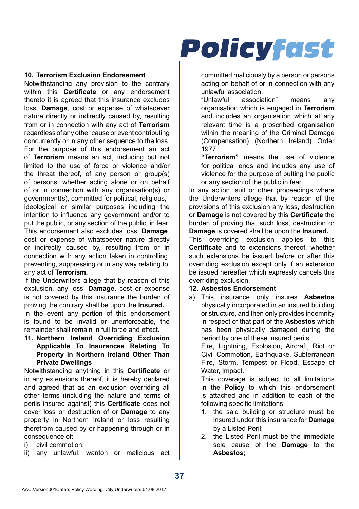#### **10. Terrorism Exclusion Endorsement**

Notwithstanding any provision to the contrary within this **Certificate** or any endorsement thereto it is agreed that this insurance excludes loss, **Damage**, cost or expense of whatsoever nature directly or indirectly caused by, resulting from or in connection with any act of **Terrorism**  regardless of any other cause or event contributing concurrently or in any other sequence to the loss. For the purpose of this endorsement an act of **Terrorism** means an act, including but not limited to the use of force or violence and/or the threat thereof, of any person or group(s) of persons, whether acting alone or on behalf of or in connection with any organisation(s) or government(s), committed for political, religious,

ideological or similar purposes including the intention to influence any government and/or to put the public, or any section of the public, in fear. This endorsement also excludes loss, **Damage**, cost or expense of whatsoever nature directly or indirectly caused by, resulting from or in connection with any action taken in controlling, preventing, suppressing or in any way relating to any act of **Terrorism.**

If the Underwriters allege that by reason of this exclusion, any loss, **Damage**, cost or expense is not covered by this insurance the burden of proving the contrary shall be upon the **Insured.**

In the event any portion of this endorsement is found to be invalid or unenforceable, the remainder shall remain in full force and effect.

**11. Northern Ireland Overriding Exclusion Applicable To Insurances Relating To Property In Northern Ireland Other Than Private Dwellings**

Notwithstanding anything in this **Certificate** or in any extensions thereof, it is hereby declared and agreed that as an exclusion overriding all other terms (including the nature and terms of perils insured against) this **Certificate** does not cover loss or destruction of or **Damage** to any property in Northern Ireland or loss resulting therefrom caused by or happening through or in consequence of:

i) civil commotion;

ii) any unlawful, wanton or malicious act

## **Policyfast**

committed maliciously by a person or persons acting on behalf of or in connection with any unlawful association.<br>"Unlawful associa

association" means any organisation which is engaged in **Terrorism**  and includes an organisation which at any relevant time is a proscribed organisation within the meaning of the Criminal Damage (Compensation) (Northern Ireland) Order 1977.

**"Terrorism"** means the use of violence for political ends and includes any use of violence for the purpose of putting the public or any section of the public in fear.

In any action, suit or other proceedings where the Underwriters allege that by reason of the provisions of this exclusion any loss, destruction or **Damage** is not covered by this **Certificate** the burden of proving that such loss, destruction or **Damage** is covered shall be upon the **Insured.**

This overriding exclusion applies to this **Certificate** and to extensions thereof, whether such extensions be issued before or after this overriding exclusion except only if an extension be issued hereafter which expressly cancels this overriding exclusion.

#### **12. Asbestos Endorsement**

a) This insurance only insures **Asbestos**  physically incorporated in an insured building or structure, and then only provides indemnity in respect of that part of the **Asbestos** which has been physically damaged during the period by one of these insured perils:

Fire, Lightning, Explosion, Aircraft, Riot or Civil Commotion, Earthquake, Subterranean Fire, Storm, Tempest or Flood, Escape of Water, Impact.

This coverage is subject to all limitations in the **Policy** to which this endorsement is attached and in addition to each of the following specific limitations:

- 1. the said building or structure must be insured under this insurance for **Damage**  by a Listed Peril;
- 2. the Listed Peril must be the immediate sole cause of the **Damage** to the **Asbestos;**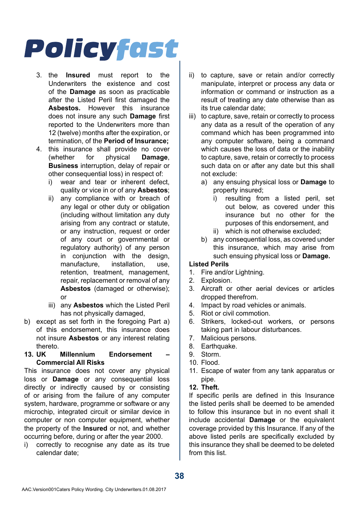- 3. the **Insured** must report to the Underwriters the existence and cost of the **Damage** as soon as practicable after the Listed Peril first damaged the **Asbestos.** However this insurance does not insure any such **Damage** first reported to the Underwriters more than 12 (twelve) months after the expiration, or termination, of the **Period of Insurance;**
- 4. this insurance shall provide no cover (whether for physical **Damage**, **Business** interruption, delay of repair or other consequential loss) in respect of:
	- i) wear and tear or inherent defect, quality or vice in or of any **Asbestos**;
	- ii) any compliance with or breach of any legal or other duty or obligation (including without limitation any duty arising from any contract or statute, or any instruction, request or order of any court or governmental or regulatory authority) of any person in conjunction with the design, manufacture, installation, use, retention, treatment, management, repair, replacement or removal of any **Asbestos** (damaged or otherwise); or
	- iii) any **Asbestos** which the Listed Peril has not physically damaged,
- b) except as set forth in the foregoing Part a) of this endorsement, this insurance does not insure **Asbestos** or any interest relating thereto.
- 13. UK Millennium Endorsement **Commercial All Risks**

This insurance does not cover any physical loss or **Damage** or any consequential loss directly or indirectly caused by or consisting of or arising from the failure of any computer system, hardware, programme or software or any microchip, integrated circuit or similar device in computer or non computer equipment, whether the property of the **Insured** or not, and whether occurring before, during or after the year 2000.

i) correctly to recognise any date as its true calendar date;

- ii) to capture, save or retain and/or correctly manipulate, interpret or process any data or information or command or instruction as a result of treating any date otherwise than as its true calendar date;
- iii) to capture, save, retain or correctly to process any data as a result of the operation of any command which has been programmed into any computer software, being a command which causes the loss of data or the inability to capture, save, retain or correctly to process such data on or after any date but this shall not exclude:
	- a) any ensuing physical loss or **Damage** to property insured;
		- i) resulting from a listed peril, set out below, as covered under this insurance but no other for the purposes of this endorsement, and
		- ii) which is not otherwise excluded;
	- b) any consequential loss, as covered under this insurance, which may arise from such ensuing physical loss or **Damage.**

#### **Listed Perils**

- 1. Fire and/or Lightning.
- 2. Explosion.
- 3. Aircraft or other aerial devices or articles dropped therefrom.
- 4. Impact by road vehicles or animals.
- 5. Riot or civil commotion.<br>6. Strikers Locked-out M
- Strikers, locked-out workers, or persons taking part in labour disturbances.
- 7. Malicious persons.
- 8. Earthquake.
- 9. Storm.
- 10. Flood.
- 11. Escape of water from any tank apparatus or pipe.

#### **12. Theft.**

If specific perils are defined in this Insurance the listed perils shall be deemed to be amended to follow this insurance but in no event shall it include accidental **Damage** or the equivalent coverage provided by this Insurance. If any of the above listed perils are specifically excluded by this insurance they shall be deemed to be deleted from this list.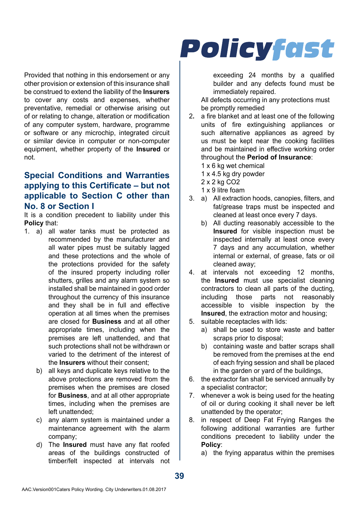Provided that nothing in this endorsement or any other provision or extension of this insurance shall be construed to extend the liability of the **Insurers**  to cover any costs and expenses, whether preventative, remedial or otherwise arising out of or relating to change, alteration or modification of any computer system, hardware, programme or software or any microchip, integrated circuit or similar device in computer or non-computer equipment, whether property of the **Insured** or not.

## **Special Conditions and Warranties applying to this Certificate – but not applicable to Section C other than No. 8 or Section I**

It is a condition precedent to liability under this **Policy** that:

- 1. a) all water tanks must be protected as recommended by the manufacturer and all water pipes must be suitably lagged and these protections and the whole of the protections provided for the safety of the insured property including roller shutters, grilles and any alarm system so installed shall be maintained in good order throughout the currency of this insurance and they shall be in full and effective operation at all times when the premises are closed for **Business** and at all other appropriate times, including when the premises are left unattended, and that such protections shall not be withdrawn or varied to the detriment of the interest of the **Insurers** without their consent;
	- b) all keys and duplicate keys relative to the above protections are removed from the premises when the premises are closed for **Business**, and at all other appropriate times, including when the premises are left unattended;
	- c) any alarm system is maintained under a maintenance agreement with the alarm company;
	- d) The **Insured** must have any flat roofed areas of the buildings constructed of timber/felt inspected at intervals not

## **Policyfast**

exceeding 24 months by a qualified builder and any defects found must be immediately repaired.

All defects occurring in any protections must be promptly remedied

- 2**.** a fire blanket and at least one of the following units of fire extinguishing appliances or such alternative appliances as agreed by us must be kept near the cooking facilities and be maintained in effective working order throughout the **Period of Insurance**:
	- 1 x 6 kg wet chemical
	- 1 x 4.5 kg dry powder
	- 2 x 2 kg CO2
	- 1 x 9 litre foam
- 3. a) All extraction hoods, canopies, filters, and fat/grease traps must be inspected and cleaned at least once every 7 days.
	- b) All ducting reasonably accessible to the **Insured** for visible inspection must be inspected internally at least once every 7 days and any accumulation, whether internal or external, of grease, fats or oil cleaned away;
- 4. at intervals not exceeding 12 months, the **Insured** must use specialist cleaning contractors to clean all parts of the ducting, including those parts not reasonably accessible to visible inspection by the **Insured**, the extraction motor and housing;
- 5. suitable receptacles with lids:
	- a) shall be used to store waste and batter scraps prior to disposal:
	- b) containing waste and batter scraps shall be removed from the premises at the end of each frying session and shall be placed in the garden or yard of the buildings,
- 6. the extractor fan shall be serviced annually by a specialist contractor;
- 7. whenever a wok is being used for the heating of oil or during cooking it shall never be left unattended by the operator;
- 8. in respect of Deep Fat Frying Ranges the following additional warranties are further conditions precedent to liability under the **Policy**:

```
a) the frying apparatus within the premises
```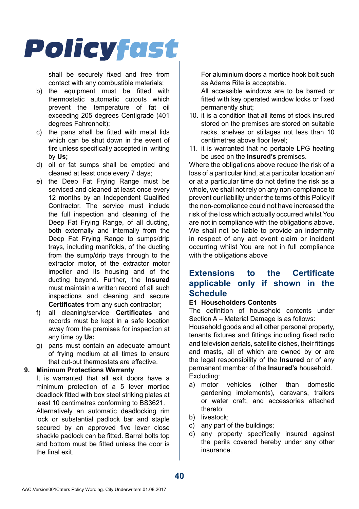

shall be securely fixed and free from contact with any combustible materials;

- b) the equipment must be fitted with thermostatic automatic cutouts which prevent the temperature of fat oil exceeding 205 degrees Centigrade (401 degrees Fahrenheit);
- c) the pans shall be fitted with metal lids which can be shut down in the event of fire unless specifically accepted in writing by **Us;**
- d) oil or fat sumps shall be emptied and cleaned at least once every 7 days;
- e) the Deep Fat Frying Range must be serviced and cleaned at least once every 12 months by an Independent Qualified Contractor. The service must include the full inspection and cleaning of the Deep Fat Frying Range, of all ducting, both externally and internally from the Deep Fat Frying Range to sumps/drip trays, including manifolds, of the ducting from the sump/drip trays through to the extractor motor, of the extractor motor impeller and its housing and of the ducting beyond. Further, the **Insured**  must maintain a written record of all such inspections and cleaning and secure **Certificates** from any such contractor;
- f) all cleaning/service **Certificates** and records must be kept in a safe location away from the premises for inspection at any time by **Us;**
- g) pans must contain an adequate amount of frying medium at all times to ensure that cut-out thermostats are effective.

#### **9. Minimum Protections Warranty**

It is warranted that all exit doors have a minimum protection of a 5 lever mortice deadlock fitted with box steel striking plates at least 10 centimetres conforming to BS3621. Alternatively an automatic deadlocking rim lock or substantial padlock bar and staple secured by an approved five lever close shackle padlock can be fitted. Barrel bolts top and bottom must be fitted unless the door is the final exit.

For aluminium doors a mortice hook bolt such as Adams Rite is acceptable.

All accessible windows are to be barred or fitted with key operated window locks or fixed permanently shut;

- 10**.** it is a condition that all items of stock insured stored on the premises are stored on suitable racks, shelves or stillages not less than 10 centimetres above floor level;
- 11. it is warranted that no portable LPG heating be used on the **Insured's** premises.

Where the obligations above reduce the risk of a loss of a particular kind, at a particular location an/ or at a particular time do not define the risk as a whole, we shall not rely on any non-compliance to prevent our liability under the terms of this Policy if the non-compliance could not have increased the risk of the loss which actually occurred whilst You are not in compliance with the obligations above. We shall not be liable to provide an indemnity in respect of any act event claim or incident occurring whilst You are not in full compliance with the obligations above

### **Extensions to the Certificate applicable only if shown in the Schedule**

#### **E1 Householders Contents**

The definition of household contents under Section A – Material Damage is as follows:

Household goods and all other personal property, tenants fixtures and fittings including fixed radio and television aerials, satellite dishes, their fittings and masts, all of which are owned by or are the legal responsibility of the **Insured** or of any permanent member of the **Insured's** household. Excluding:

- a) motor vehicles (other than domestic gardening implements), caravans, trailers or water craft, and accessories attached thereto;
- b) livestock;
- c) any part of the buildings;
- d) any property specifically insured against the perils covered hereby under any other insurance.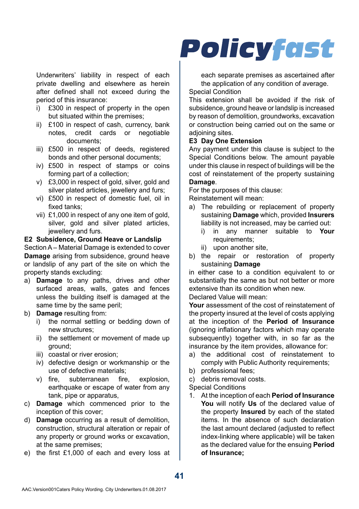Underwriters' liability in respect of each private dwelling and elsewhere as herein after defined shall not exceed during the period of this insurance:

- i) £300 in respect of property in the open but situated within the premises;
- ii) £100 in respect of cash, currency, bank notes, credit cards or negotiable documents;
- iii) £500 in respect of deeds, registered bonds and other personal documents;
- iv) £500 in respect of stamps or coins forming part of a collection;
- v) £3,000 in respect of gold, silver, gold and silver plated articles, jewellery and furs;
- vi) £500 in respect of domestic fuel, oil in fixed tanks;
- vii) £1,000 in respect of any one item of gold, silver, gold and silver plated articles. jewellery and furs.

#### **E2 Subsidence, Ground Heave or Landslip**

Section A – Material Damage is extended to cover **Damage** arising from subsidence, ground heave or landslip of any part of the site on which the property stands excluding:

- a) **Damage** to any paths, drives and other surfaced areas, walls, gates and fences unless the building itself is damaged at the same time by the same peril;
- b) **Damage** resulting from:
	- i) the normal settling or bedding down of new structures;
	- ii) the settlement or movement of made up ground;
	- iii) coastal or river erosion;
	- iv) defective design or workmanship or the use of defective materials;
	- v) fire, subterranean fire, explosion, earthquake or escape of water from any tank, pipe or apparatus,
- c) **Damage** which commenced prior to the inception of this cover;
- d) **Damage** occurring as a result of demolition, construction, structural alteration or repair of any property or ground works or excavation, at the same premises;
- e) the first £1,000 of each and every loss at

## **Policyfast**

each separate premises as ascertained after the application of any condition of average.

#### Special Condition

This extension shall be avoided if the risk of subsidence, ground heave or landslip is increased by reason of demolition, groundworks, excavation or construction being carried out on the same or adioining sites.

#### **E3 Day One Extension**

Any payment under this clause is subject to the Special Conditions below. The amount payable under this clause in respect of buildings will be the cost of reinstatement of the property sustaining **Damage**.

For the purposes of this clause:

Reinstatement will mean:

- a) The rebuilding or replacement of property sustaining **Damage** which, provided **Insurers**  liability is not increased, may be carried out:
	- i) in any manner suitable to **Your**  requirements;
	- ii) upon another site,
- b) the repair or restoration of property sustaining **Damage**

in either case to a condition equivalent to or substantially the same as but not better or more extensive than its condition when new.

Declared Value will mean:

**Your** assessment of the cost of reinstatement of the property insured at the level of costs applying at the inception of the **Period of Insurance**  (ignoring inflationary factors which may operate subsequently) together with, in so far as the insurance by the item provides, allowance for:

- a) the additional cost of reinstatement to comply with Public Authority requirements;
- b) professional fees;
- c) debris removal costs.

Special Conditions

1. At the inception of each **Period of Insurance You** will notify **Us** of the declared value of the property **Insured** by each of the stated items. In the absence of such declaration the last amount declared (adjusted to reflect index-linking where applicable) will be taken as the declared value for the ensuing **Period of Insurance;**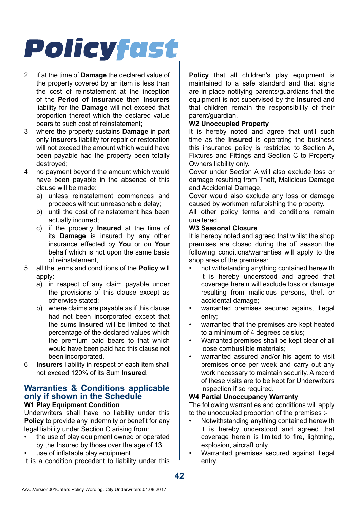- 2. if at the time of **Damage** the declared value of the property covered by an item is less than the cost of reinstatement at the inception of the **Period of Insurance** then **Insurers**  liability for the **Damage** will not exceed that proportion thereof which the declared value bears to such cost of reinstatement;
- 3. where the property sustains **Damage** in part only **Insurers** liability for repair or restoration will not exceed the amount which would have been payable had the property been totally destroyed;
- 4. no payment beyond the amount which would have been payable in the absence of this clause will be made:
	- a) unless reinstatement commences and proceeds without unreasonable delay;
	- b) until the cost of reinstatement has been actually incurred;
	- c) if the property **Insured** at the time of its **Damage** is insured by any other insurance effected by **You** or on **Your**  behalf which is not upon the same basis of reinstatement,
- 5. all the terms and conditions of the **Policy** will apply:
	- a) in respect of any claim payable under the provisions of this clause except as otherwise stated;
	- b) where claims are payable as if this clause had not been incorporated except that the sums **Insured** will be limited to that percentage of the declared values which the premium paid bears to that which would have been paid had this clause not been incorporated,
- 6. **Insurers** liability in respect of each item shall not exceed 120% of its Sum **Insured**.

#### **Warranties & Conditions applicable only if shown in the Schedule W1 Play Equipment Condition**

Underwriters shall have no liability under this **Policy** to provide any indemnity or benefit for any legal liability under Section C arising from:

- the use of play equipment owned or operated by the Insured by those over the age of 13;
- use of inflatable play equipment

It is a condition precedent to liability under this

**Policy** that all children's play equipment is maintained to a safe standard and that signs are in place notifying parents/guardians that the equipment is not supervised by the **Insured** and that children remain the responsibility of their parent/guardian.

#### **W2 Unoccupied Property**

It is hereby noted and agree that until such time as the **Insured** is operating the business this insurance policy is restricted to Section A, Fixtures and Fittings and Section C to Property Owners liability only.

Cover under Section A will also exclude loss or damage resulting from Theft, Malicious Damage and Accidental Damage.

Cover would also exclude any loss or damage caused by workmen refurbishing the property.

All other policy terms and conditions remain unaltered.

#### **W3 Seasonal Closure**

It is hereby noted and agreed that whilst the shop premises are closed during the off season the following conditions/warranties will apply to the shop area of the premises:

- not withstanding anything contained herewith it is hereby understood and agreed that coverage herein will exclude loss or damage resulting from malicious persons, theft or accidental damage;
- warranted premises secured against illegal entry;
- warranted that the premises are kept heated to a minimum of 4 degrees celsius;
- Warranted premises shall be kept clear of all loose combustible materials;
- warranted assured and/or his agent to visit premises once per week and carry out any work necessary to maintain security. A record of these visits are to be kept for Underwriters inspection if so required.

#### **W4 Partial Unoccupancy Warranty**

The following warranties and conditions will apply to the unoccupied proportion of the premises :-

- Notwithstanding anything contained herewith it is hereby understood and agreed that coverage herein is limited to fire, lightning, explosion, aircraft only.
- Warranted premises secured against illegal entry.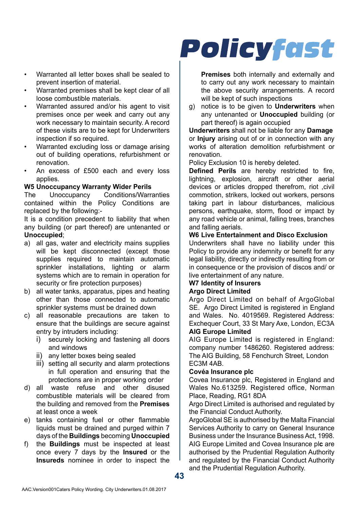- Warranted all letter boxes shall be sealed to prevent insertion of material.
- Warranted premises shall be kept clear of all loose combustible materials.
- Warranted assured and/or his agent to visit premises once per week and carry out any work necessary to maintain security. A record of these visits are to be kept for Underwriters inspection if so required.
- Warranted excluding loss or damage arising out of building operations, refurbishment or renovation.
- An excess of £500 each and every loss applies.

## **W5 Unoccupancy Warranty Wider Perils**

Conditions/Warranties contained within the Policy Conditions are replaced by the following:-

It is a condition precedent to liability that when any building (or part thereof) are untenanted or **Unoccupied**;

- a) all gas, water and electricity mains supplies will be kept disconnected (except those supplies required to maintain automatic sprinkler installations, lighting or alarm systems which are to remain in operation for security or fire protection purposes)
- b) all water tanks, apparatus, pipes and heating other than those connected to automatic sprinkler systems must be drained down
- c) all reasonable precautions are taken to ensure that the buildings are secure against entry by intruders including:
	- i) securely locking and fastening all doors and windows
	- ii) any letter boxes being sealed
	- iii) setting all security and alarm protections in full operation and ensuring that the protections are in proper working order
- d) all waste refuse and other disused combustible materials will be cleared from the building and removed from the **Premises**  at least once a week
- e) tanks containing fuel or other flammable liquids must be drained and purged within 7 days of the **Buildings** becoming **Unoccupied**
- f) the **Buildings** must be inspected at least once every 7 days by the **Insured** or the **Insureds** nominee in order to inspect the

## **Policyfast**

**Premises** both internally and externally and to carry out any work necessary to maintain the above security arrangements. A record will be kept of such inspections

g) notice is to be given to **Underwriters** when any untenanted or **Unoccupied** building (or part thereof) is again occupied

**Underwriters** shall not be liable for any **Damage** or **Injury** arising out of or in connection with any works of alteration demolition refurbishment or renovation.

Policy Exclusion 10 is hereby deleted.

**Defined Perils** are hereby restricted to fire, lightning, explosion, aircraft or other aerial devices or articles dropped therefrom, riot ,civil commotion, strikers, locked out workers, persons taking part in labour disturbances, malicious persons, earthquake, storm, flood or impact by any road vehicle or animal, falling trees, branches and falling aerials.

#### **W6 Live Entertainment and Disco Exclusion**

Underwriters shall have no liability under this Policy to provide any indemnity or benefit for any legal liability, directly or indirectly resulting from or in consequence or the provision of discos and/ or live entertainment of any nature.

#### **W7 Identity of Insurers Argo Direct Limited**

Argo Direct Limited on behalf of ArgoGlobal SE. Argo Direct Limited is registered in England and Wales. No. 4019569. Registered Address: Exchequer Court, 33 St Mary Axe, London, EC3A

#### **AIG Europe Limited**

AIG Europe Limited is registered in England: company number 1486260. Registered address: The AIG Building, 58 Fenchurch Street, London EC3M 4AB.

#### **Covéa Insurance plc**

Covea Insurance plc, Registered in England and Wales No.613259. Registered office, Norman Place, Reading, RG1 8DA

Argo Direct Limited is authorised and regulated by the Financial Conduct Authority.

ArgoGlobal SE is authorised by the Malta Financial Services Authority to carry on General Insurance Business under the Insurance Business Act, 1998. AIG Europe Limited and Covea Insurance pl**c** are authorised by the Prudential Regulation Authority and regulated by the Financial Conduct Authority and the Prudential Regulation Authority.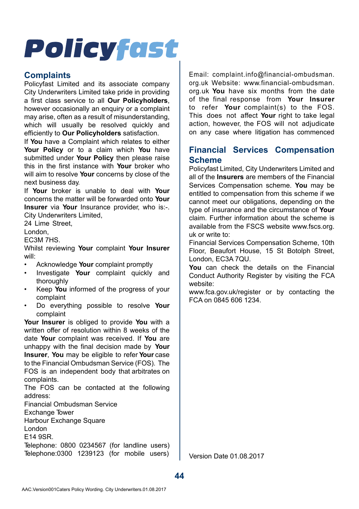### **Complaints**

Policyfast Limited and its associate company City Underwriters Limited take pride in providing a first class service to all **Our Policyholders**, however occasionally an enquiry or a complaint may arise, often as a result of misunderstanding, which will usually be resolved quickly and efficiently to **Our Policyholders** satisfaction.

If **You** have a Complaint which relates to either **Your Policy** or to a claim which **You** have submitted under **Your Policy** then please raise this in the first instance with **Your** broker who will aim to resolve **Your** concerns by close of the next business day.

If **Your** broker is unable to deal with **Your** concerns the matter will be forwarded onto **Your Insurer** via **Your** Insurance provider, who is:-. City Underwriters Limited,

24 Lime Street

London,

EC3M 7HS.

Whilst reviewing **Your** complaint **Your Insurer** will:

- Acknowledge **Your** complaint promptly
- Investigate **Your** complaint quickly and thoroughly
- Keep **You** informed of the progress of your complaint
- Do everything possible to resolve **Your** complaint

**Your Insurer** is obliged to provide **You** with a written offer of resolution within 8 weeks of the date **Your** complaint was received. If **You** are unhappy with the final decision made by **Your Insurer**, **You** may be eligible to refer **Your** case to the Financial Ombudsman Service (FOS). The FOS is an independent body that arbitrates on complaints.

The FOS can be contacted at the following address:

Financial Ombudsman Service

Exchange Tower

Harbour Exchange Square

London

E14 9SR.

Telephone: 0800 0234567 (for landline users) Telephone:0300 1239123 (for mobile users)

Email: complaint.info@financial-ombudsman. org.uk Website: www.financial-ombudsman. org.uk **You** have six months from the date of the final response from **Your Insurer** to refer **Your** complaint(s) to the FOS. This does not affect **Your** right to take legal action, however, the FOS will not adjudicate on any case where litigation has commenced

## **Financial Services Compensation Scheme**

Policyfast Limited, City Underwriters Limited and all of the **Insurers** are members of the Financial Services Compensation scheme. **You** may be entitled to compensation from this scheme if we cannot meet our obligations, depending on the type of insurance and the circumstance of **Your**  claim. Further information about the scheme is available from the FSCS website www.fscs.org. uk or write to:

Financial Services Compensation Scheme, 10th Floor, Beaufort House, 15 St Botolph Street, London, EC3A 7QU.

**You** can check the details on the Financial Conduct Authority Register by visiting the FCA website:

www.fca.gov.uk/register or by contacting the FCA on 0845 606 1234.

Version Date 01.08.2017